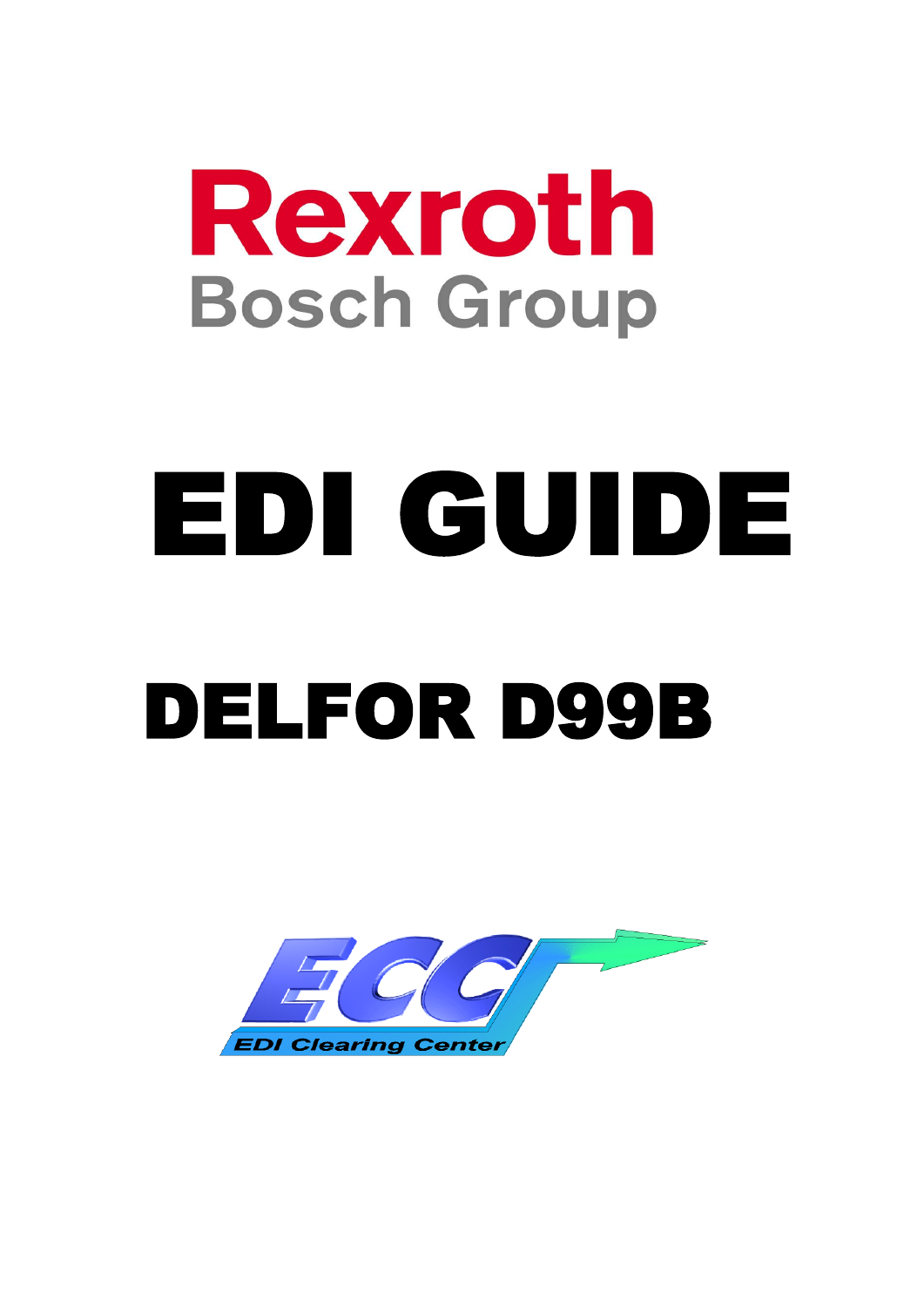# Rexroth **Bosch Group**

# EDI GUIDE DELFOR D99B

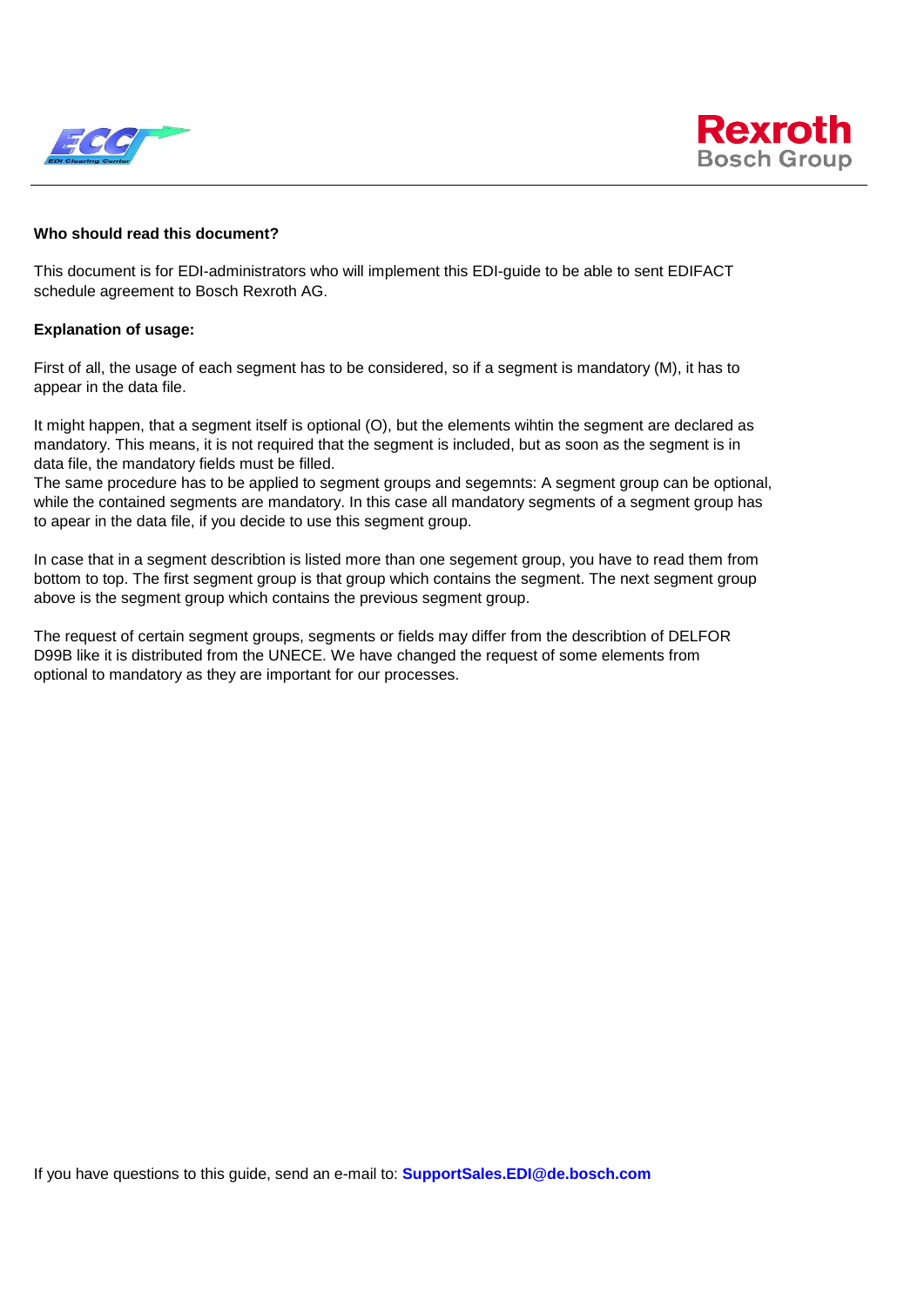



#### **Who should read this document?**

This document is for EDI-administrators who will implement this EDI-guide to be able to sent EDIFACT schedule agreement to Bosch Rexroth AG.

#### **Explanation of usage:**

First of all, the usage of each segment has to be considered, so if a segment is mandatory (M), it has to appear in the data file.

It might happen, that a segment itself is optional (O), but the elements wihtin the segment are declared as mandatory. This means, it is not required that the segment is included, but as soon as the segment is in data file, the mandatory fields must be filled.

The same procedure has to be applied to segment groups and segemnts: A segment group can be optional, while the contained segments are mandatory. In this case all mandatory segments of a segment group has to apear in the data file, if you decide to use this segment group.

In case that in a segment describtion is listed more than one segement group, you have to read them from bottom to top. The first segment group is that group which contains the segment. The next segment group above is the segment group which contains the previous segment group.

The request of certain segment groups, segments or fields may differ from the describtion of DELFOR D99B like it is distributed from the UNECE. We have changed the request of some elements from optional to mandatory as they are important for our processes.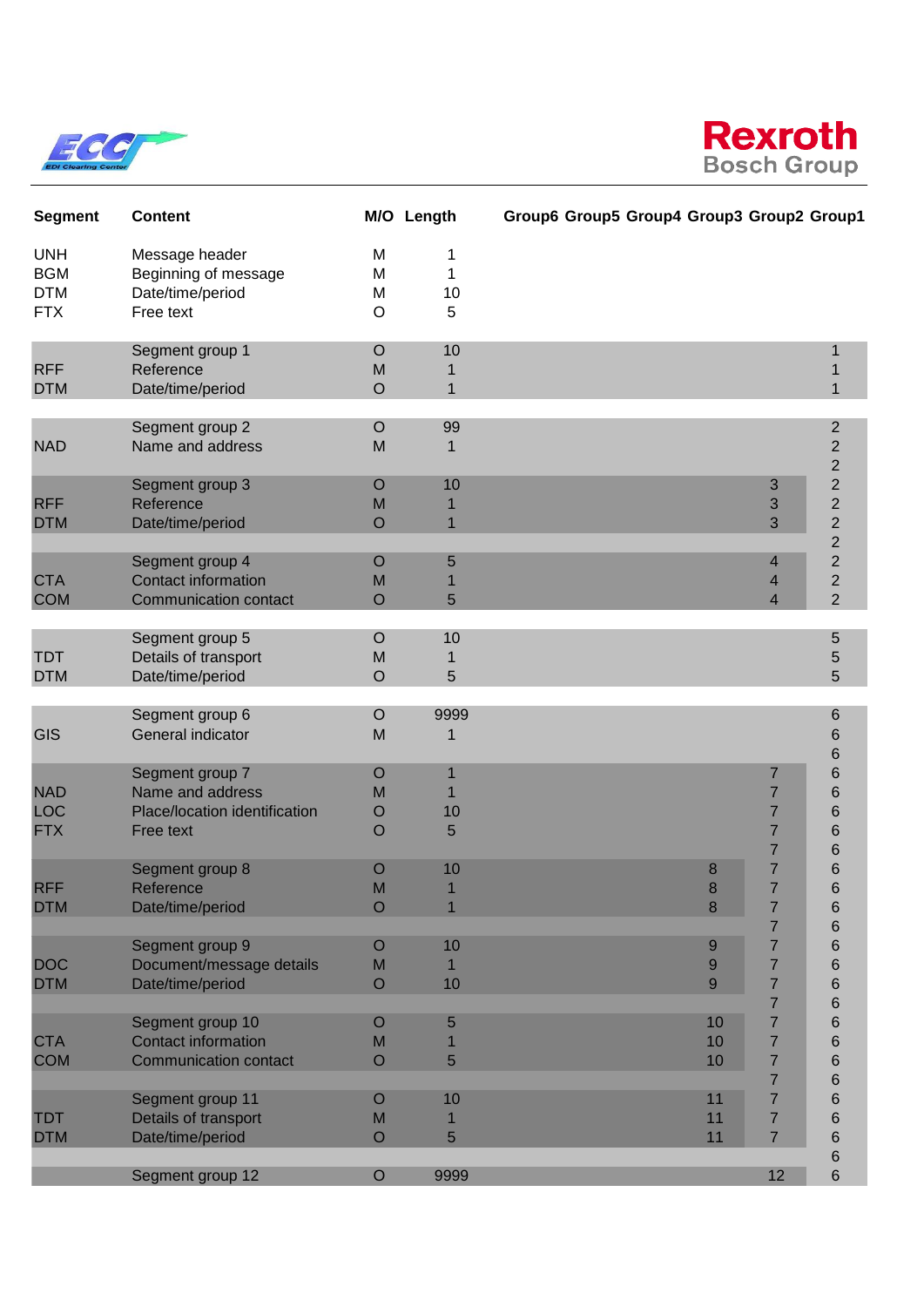



| <b>Segment</b>                                       | <b>Content</b>                                                                    |                                       | M/O Length                             | Group6 Group5 Group4 Group3 Group2 Group1 |                |                                                                           |                                                                      |
|------------------------------------------------------|-----------------------------------------------------------------------------------|---------------------------------------|----------------------------------------|-------------------------------------------|----------------|---------------------------------------------------------------------------|----------------------------------------------------------------------|
| <b>UNH</b><br><b>BGM</b><br><b>DTM</b><br><b>FTX</b> | Message header<br>Beginning of message<br>Date/time/period<br>Free text           | M<br>M<br>M<br>O                      | 1<br>1<br>10<br>5                      |                                           |                |                                                                           |                                                                      |
| <b>RFF</b><br><b>DTM</b>                             | Segment group 1<br>Reference<br>Date/time/period                                  | $\circ$<br>M<br>$\overline{O}$        | 10<br>1<br>$\mathbf 1$                 |                                           |                |                                                                           | 1<br>1                                                               |
| <b>NAD</b>                                           | Segment group 2<br>Name and address                                               | O<br>M                                | 99<br>1                                |                                           |                |                                                                           | $\overline{c}$<br>$\overline{c}$<br>$\overline{c}$                   |
| <b>RFF</b><br><b>DTM</b>                             | Segment group 3<br>Reference<br>Date/time/period                                  | $\circ$<br>M<br>$\overline{O}$        | 10<br>$\overline{1}$                   |                                           |                | 3<br>3<br>3                                                               | $\overline{c}$<br>$\overline{c}$<br>$\overline{2}$<br>$\overline{2}$ |
| <b>CTA</b><br><b>COM</b>                             | Segment group 4<br><b>Contact information</b><br><b>Communication contact</b>     | $\overline{O}$<br>M<br>$\overline{O}$ | 5<br>5                                 |                                           |                | 4<br>4<br>4                                                               | $\overline{2}$<br>$\overline{2}$<br>$\overline{2}$                   |
| <b>TDT</b><br><b>DTM</b>                             | Segment group 5<br>Details of transport<br>Date/time/period                       | O<br>M<br>$\circ$                     | 10<br>1<br>5                           |                                           |                |                                                                           | 5<br>5<br>5                                                          |
| <b>GIS</b>                                           | Segment group 6<br>General indicator                                              | $\circ$<br>M                          | 9999<br>1                              |                                           |                |                                                                           | 6<br>6<br>6                                                          |
| <b>NAD</b><br><b>LOC</b><br><b>FTX</b>               | Segment group 7<br>Name and address<br>Place/location identification<br>Free text | $\circ$<br>M<br>$\circ$<br>$\circ$    | $\mathbf 1$<br>$\mathbf 1$<br>10<br>5  |                                           |                | 7<br>$\overline{7}$<br>7<br>7<br>7                                        | 6<br>6<br>6<br>6<br>6                                                |
| <b>RFF</b><br><b>DTM</b>                             | Segment group 8<br>Reference<br>Date/time/period                                  | O<br>M<br>$\circ$                     | 10<br>$\overline{1}$<br>$\overline{1}$ |                                           | 8<br>8<br>8    | 7<br>$\overline{7}$<br>$\overline{7}$<br>7                                | 6<br>6<br>6<br>6                                                     |
| <b>DOC</b><br><b>DTM</b>                             | Segment group 9<br>Document/message details<br>Date/time/period                   | O<br>M<br>$\circ$                     | 10<br>10                               |                                           | 9<br>9<br>9    | 7<br>$\overline{7}$<br>$\overline{7}$                                     | 6<br>6<br>6                                                          |
| <b>CTA</b><br><b>COM</b>                             | Segment group 10<br><b>Contact information</b><br><b>Communication contact</b>    | O<br>M<br>$\circ$                     | 5<br>5                                 |                                           | 10<br>10<br>10 | $\overline{7}$<br>7<br>$\overline{7}$<br>$\overline{7}$<br>$\overline{7}$ | 6<br>6<br>$6\phantom{1}6$<br>6<br>$6\phantom{1}6$                    |
| <b>TDT</b><br><b>DTM</b>                             | Segment group 11<br>Details of transport<br>Date/time/period                      | O<br>M<br>$\circ$                     | 10<br>5                                |                                           | 11<br>11<br>11 | $\overline{7}$<br>7<br>$\overline{7}$                                     | 6<br>6<br>6                                                          |
|                                                      | Segment group 12                                                                  | $\mathsf O$                           | 9999                                   |                                           |                | 12                                                                        | 6<br>$\,$ 6 $\,$                                                     |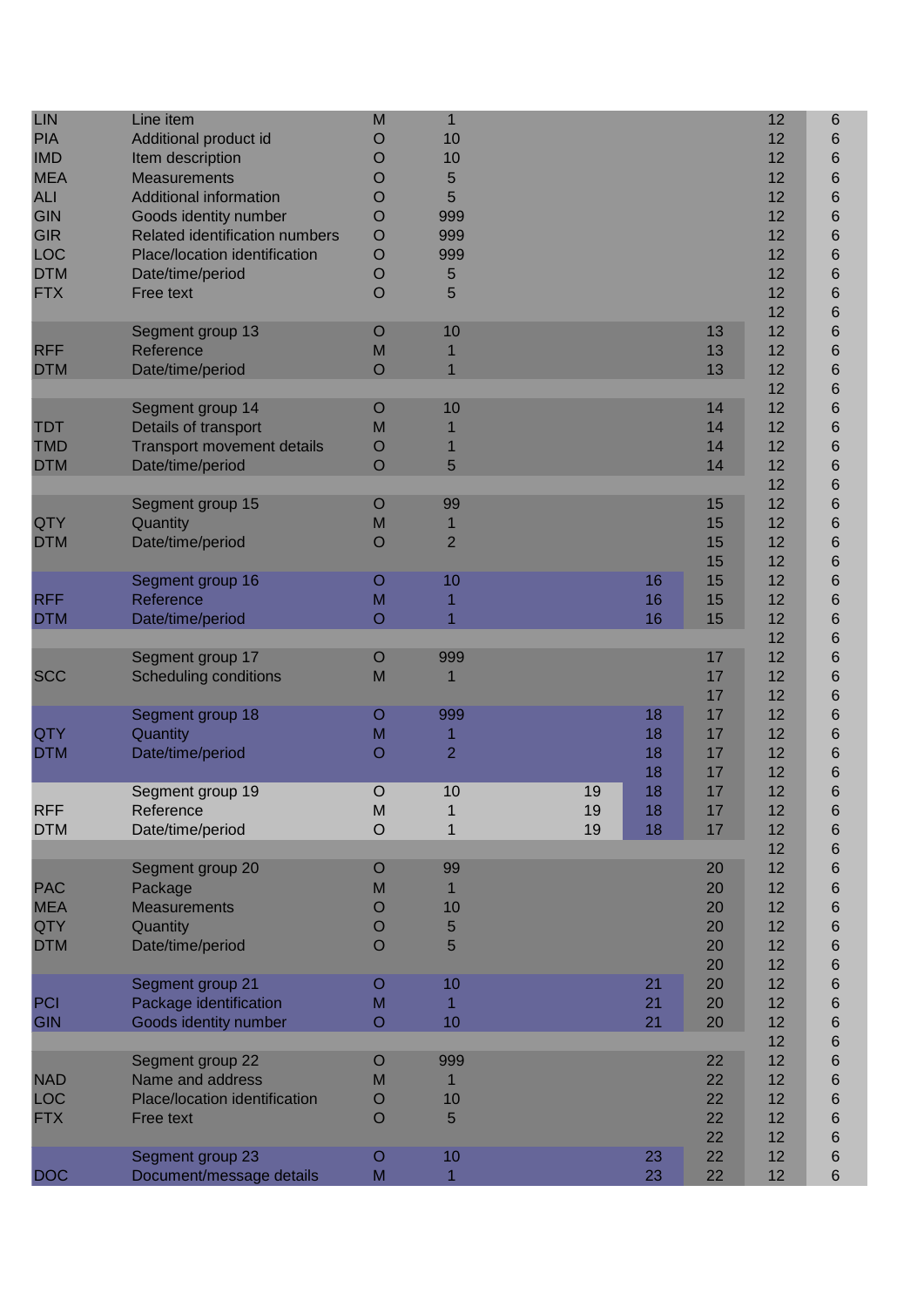| <b>LIN</b><br><b>PIA</b><br><b>IMD</b><br><b>MEA</b><br><b>ALI</b><br><b>GIN</b><br><b>GIR</b><br>LOC<br><b>DTM</b><br><b>FTX</b> | Line item<br>Additional product id<br>Item description<br><b>Measurements</b><br><b>Additional information</b><br>Goods identity number<br>Related identification numbers<br>Place/location identification<br>Date/time/period<br>Free text | M<br>Ő<br>O<br>O<br>O<br>O<br>$\circ$<br>$\circ$<br>$\circ$<br>$\circ$ | $\mathbf{1}$<br>10<br>10<br>5<br>5<br>999<br>999<br>999<br>5<br>5 |                |                      |                                  | 12<br>12<br>12<br>12<br>12<br>12<br>12<br>12<br>12<br>12<br>12 | $6\phantom{1}6$<br>6<br>6<br>6<br>6<br>6<br>6<br>6<br>6<br>6<br>6 |
|-----------------------------------------------------------------------------------------------------------------------------------|---------------------------------------------------------------------------------------------------------------------------------------------------------------------------------------------------------------------------------------------|------------------------------------------------------------------------|-------------------------------------------------------------------|----------------|----------------------|----------------------------------|----------------------------------------------------------------|-------------------------------------------------------------------|
| <b>RFF</b><br><b>DTM</b>                                                                                                          | Segment group 13<br>Reference<br>Date/time/period                                                                                                                                                                                           | O<br>M<br>$\overline{O}$                                               | 10<br>$\overline{1}$                                              |                |                      | 13<br>13<br>13                   | 12<br>12<br>12<br>12                                           | 6<br>6<br>6<br>6                                                  |
| <b>TDT</b><br><b>TMD</b><br><b>DTM</b>                                                                                            | Segment group 14<br>Details of transport<br><b>Transport movement details</b><br>Date/time/period                                                                                                                                           | O<br>M<br>O<br>$\circ$                                                 | 10<br>5                                                           |                |                      | 14<br>14<br>14<br>14             | 12<br>12<br>12<br>12<br>12                                     | 6<br>6<br>6<br>6<br>6                                             |
| QTY<br><b>DTM</b>                                                                                                                 | Segment group 15<br>Quantity<br>Date/time/period                                                                                                                                                                                            | $\circ$<br>M<br>$\circ$                                                | 99<br>$\mathbf 1$<br>$\overline{2}$                               |                |                      | 15<br>15<br>15<br>15             | 12<br>12<br>12<br>12                                           | 6<br>6<br>6<br>6                                                  |
| <b>RFF</b><br><b>DTM</b>                                                                                                          | Segment group 16<br>Reference<br>Date/time/period                                                                                                                                                                                           | $\circ$<br>M<br>$\circ$                                                | 10<br>1                                                           |                | 16<br>16<br>16       | 15<br>15<br>15                   | 12<br>12<br>12<br>12                                           | 6<br>6<br>6<br>6                                                  |
| <b>SCC</b>                                                                                                                        | Segment group 17<br><b>Scheduling conditions</b>                                                                                                                                                                                            | $\circ$<br>M                                                           | 999                                                               |                |                      | 17<br>17<br>17                   | 12<br>12<br>12                                                 | 6<br>6<br>6                                                       |
| <b>QTY</b><br><b>DTM</b>                                                                                                          | Segment group 18<br>Quantity<br>Date/time/period                                                                                                                                                                                            | O<br>M<br>O                                                            | 999<br>1<br>$\overline{2}$                                        |                | 18<br>18<br>18<br>18 | 17<br>17<br>17<br>17             | 12<br>12<br>12<br>12                                           | 6<br>6<br>6<br>6                                                  |
| <b>RFF</b><br><b>DTM</b>                                                                                                          | Segment group 19<br>Reference<br>Date/time/period                                                                                                                                                                                           | $\circ$<br>M<br>$\circ$                                                | 10<br>1                                                           | 19<br>19<br>19 | 18<br>18<br>18       | 17<br>17<br>17                   | 12<br>12<br>12<br>12                                           | 6<br>6<br>6                                                       |
| <b>PAC</b><br><b>MEA</b><br>QTY<br><b>DTM</b>                                                                                     | Segment group 20<br>Package<br><b>Measurements</b><br>Quantity<br>Date/time/period                                                                                                                                                          | O<br>M<br>O<br>$\circ$<br>$\circ$                                      | 99<br>$\mathbf 1$<br>10<br>5<br>5                                 |                |                      | 20<br>20<br>20<br>20<br>20<br>20 | 12<br>12<br>12<br>12<br>12<br>12                               | 6<br>6<br>6<br>6<br>6<br>6<br>6                                   |
| PCI<br><b>GIN</b>                                                                                                                 | Segment group 21<br>Package identification<br><b>Goods identity number</b>                                                                                                                                                                  | O<br>M<br>$\circ$                                                      | 10<br>1<br>10                                                     |                | 21<br>21<br>21       | 20<br>20<br>20                   | 12<br>12<br>12<br>12                                           | 6<br>6<br>6<br>6                                                  |
| <b>NAD</b><br><b>LOC</b><br><b>FTX</b>                                                                                            | Segment group 22<br>Name and address<br>Place/location identification<br>Free text                                                                                                                                                          | O<br>M<br>O<br>$\Omega$                                                | 999<br>10<br>5                                                    |                |                      | 22<br>22<br>22<br>22<br>22       | 12<br>12<br>12<br>12<br>12                                     | 6<br>6<br>6<br>6<br>6                                             |
| <b>DOC</b>                                                                                                                        | Segment group 23<br>Document/message details                                                                                                                                                                                                | O<br>M                                                                 | 10<br>1                                                           |                | 23<br>23             | 22<br>22                         | 12<br>12                                                       | 6<br>$\,6$                                                        |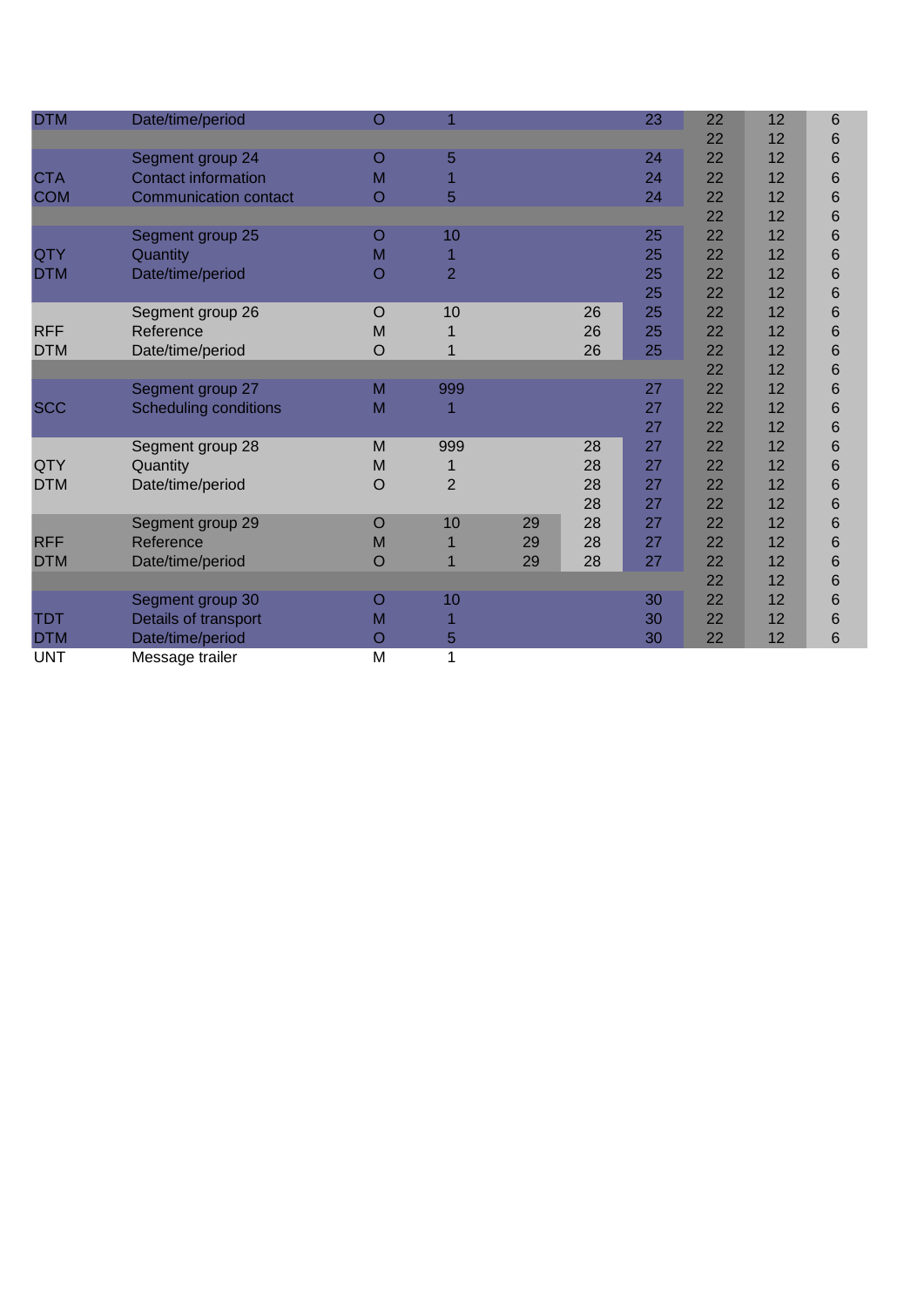| <b>DTM</b> | Date/time/period             | $\circ$ |                |    |    | 23 | 22 | 12 | 6               |  |
|------------|------------------------------|---------|----------------|----|----|----|----|----|-----------------|--|
|            |                              |         |                |    |    |    | 22 | 12 | 6               |  |
|            | Segment group 24             | O       | 5              |    |    | 24 | 22 | 12 | 6               |  |
| <b>CTA</b> | <b>Contact information</b>   | M       |                |    |    | 24 | 22 | 12 | 6               |  |
| <b>COM</b> | <b>Communication contact</b> | O       | 5              |    |    | 24 | 22 | 12 | 6               |  |
|            |                              |         |                |    |    |    | 22 | 12 | 6               |  |
|            | Segment group 25             | O       | 10             |    |    | 25 | 22 | 12 | $6\phantom{1}6$ |  |
| QTY        | Quantity                     | M       |                |    |    | 25 | 22 | 12 | 6               |  |
| <b>DTM</b> | Date/time/period             | O       | $\overline{2}$ |    |    | 25 | 22 | 12 | $6\phantom{1}6$ |  |
|            |                              |         |                |    |    | 25 | 22 | 12 | 6               |  |
|            | Segment group 26             | $\circ$ | 10             |    | 26 | 25 | 22 | 12 | 6               |  |
| <b>RFF</b> | Reference                    | M       |                |    | 26 | 25 | 22 | 12 | $6\phantom{1}6$ |  |
| <b>DTM</b> | Date/time/period             | O       | 1              |    | 26 | 25 | 22 | 12 | $6\phantom{1}6$ |  |
|            |                              |         |                |    |    |    | 22 | 12 | 6               |  |
|            | Segment group 27             | M       | 999            |    |    | 27 | 22 | 12 | 6               |  |
| <b>SCC</b> | <b>Scheduling conditions</b> | M       |                |    |    | 27 | 22 | 12 | $\,$ 6          |  |
|            |                              |         |                |    |    | 27 | 22 | 12 | $6\phantom{1}6$ |  |
|            | Segment group 28             | M       | 999            |    | 28 | 27 | 22 | 12 | 6               |  |
| <b>QTY</b> | Quantity                     | M       |                |    | 28 | 27 | 22 | 12 | $6\phantom{1}6$ |  |
| <b>DTM</b> | Date/time/period             | O       | $\overline{2}$ |    | 28 | 27 | 22 | 12 | $6\phantom{1}6$ |  |
|            |                              |         |                |    | 28 | 27 | 22 | 12 | 6               |  |
|            | Segment group 29             | $\circ$ | 10             | 29 | 28 | 27 | 22 | 12 | $6\phantom{1}6$ |  |
| <b>RFF</b> | Reference                    | M       | 1              | 29 | 28 | 27 | 22 | 12 | $\,$ 6          |  |
| <b>DTM</b> | Date/time/period             | O       |                | 29 | 28 | 27 | 22 | 12 | 6               |  |
|            |                              |         |                |    |    |    | 22 | 12 | $6\phantom{1}6$ |  |
|            | Segment group 30             | O       | 10             |    |    | 30 | 22 | 12 | 6               |  |
| <b>TDT</b> | Details of transport         | M       |                |    |    | 30 | 22 | 12 | 6               |  |
| <b>DTM</b> | Date/time/period             | O       | 5              |    |    | 30 | 22 | 12 | 6               |  |
| <b>UNT</b> | Message trailer              | M       | 1              |    |    |    |    |    |                 |  |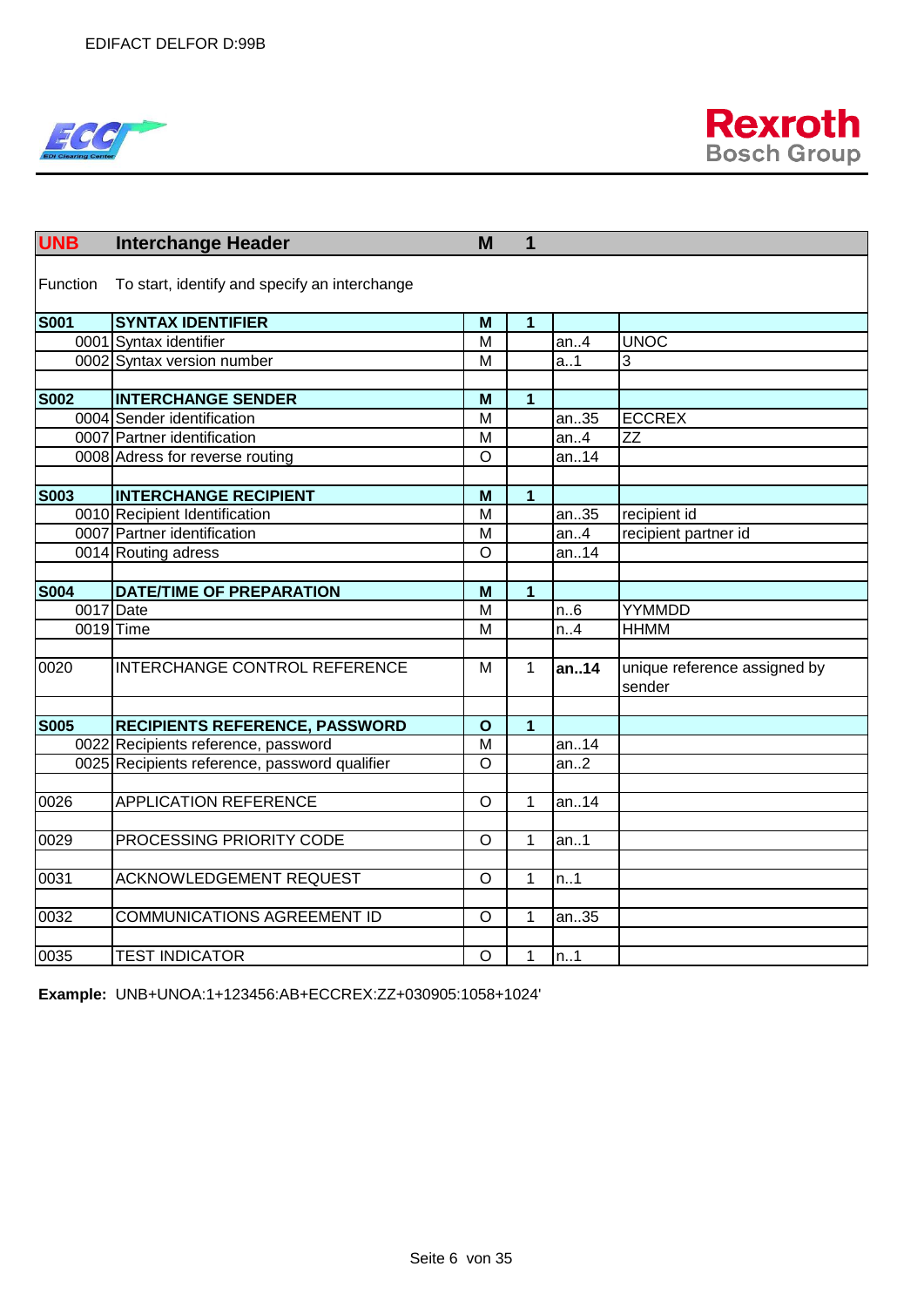



| <b>UNB</b>  | <b>Interchange Header</b>                     | M              | 1                       |           |                                        |
|-------------|-----------------------------------------------|----------------|-------------------------|-----------|----------------------------------------|
|             |                                               |                |                         |           |                                        |
| Function    | To start, identify and specify an interchange |                |                         |           |                                        |
| <b>S001</b> | <b>SYNTAX IDENTIFIER</b>                      | M              | 1                       |           |                                        |
|             | 0001 Syntax identifier                        | $\overline{M}$ |                         | an.4      | <b>UNOC</b>                            |
|             | 0002 Syntax version number                    | M              |                         | a.1       | 3                                      |
|             |                                               |                |                         |           |                                        |
| <b>S002</b> | <b>INTERCHANGE SENDER</b>                     | M              | $\overline{\mathbf{1}}$ |           |                                        |
|             | 0004 Sender identification                    | M              |                         | an35      | <b>ECCREX</b>                          |
|             | 0007 Partner identification                   | M              |                         | an.4      | ZZ                                     |
|             | 0008 Adress for reverse routing               | $\circ$        |                         | an14      |                                        |
|             |                                               |                |                         |           |                                        |
| <b>S003</b> | <b>INTERCHANGE RECIPIENT</b>                  | M              | $\mathbf{1}$            |           |                                        |
|             | 0010 Recipient Identification                 | M              |                         | an35      | recipient id                           |
|             | 0007 Partner identification                   | M              |                         | an.4      | recipient partner id                   |
|             | 0014 Routing adress                           | $\circ$        |                         | an14      |                                        |
|             |                                               |                |                         |           |                                        |
| <b>S004</b> | <b>DATE/TIME OF PREPARATION</b>               | M              | $\overline{1}$          |           |                                        |
| 0017 Date   |                                               | M              |                         | n.6       | YYMMDD                                 |
|             | 0019 Time                                     | $\overline{M}$ |                         | n.4       | <b>HHMM</b>                            |
|             |                                               |                |                         |           |                                        |
| 0020        | INTERCHANGE CONTROL REFERENCE                 | M              | $\mathbf{1}$            | an14      | unique reference assigned by<br>sender |
|             |                                               |                |                         |           |                                        |
| <b>S005</b> | <b>RECIPIENTS REFERENCE, PASSWORD</b>         | $\mathbf{o}$   | $\overline{1}$          |           |                                        |
|             | 0022 Recipients reference, password           | $\overline{M}$ |                         | an14      |                                        |
|             | 0025 Recipients reference, password qualifier | $\circ$        |                         | an.2      |                                        |
|             |                                               |                |                         |           |                                        |
| 0026        | <b>APPLICATION REFERENCE</b>                  | $\overline{O}$ | 1                       | an14      |                                        |
|             |                                               |                |                         |           |                                        |
| 0029        | PROCESSING PRIORITY CODE                      | $\circ$        | 1                       | an.1      |                                        |
|             |                                               |                |                         |           |                                        |
| 0031        | <b>ACKNOWLEDGEMENT REQUEST</b>                | $\circ$        | 1                       | n.1       |                                        |
|             |                                               |                |                         |           |                                        |
| 0032        | <b>COMMUNICATIONS AGREEMENT ID</b>            | $\circ$        | 1                       | an35      |                                        |
|             |                                               |                |                         |           |                                        |
| 0035        | <b>TEST INDICATOR</b>                         | $\circ$        | $\mathbf{1}$            | $\ln 0.1$ |                                        |

**Example:** UNB+UNOA:1+123456:AB+ECCREX:ZZ+030905:1058+1024'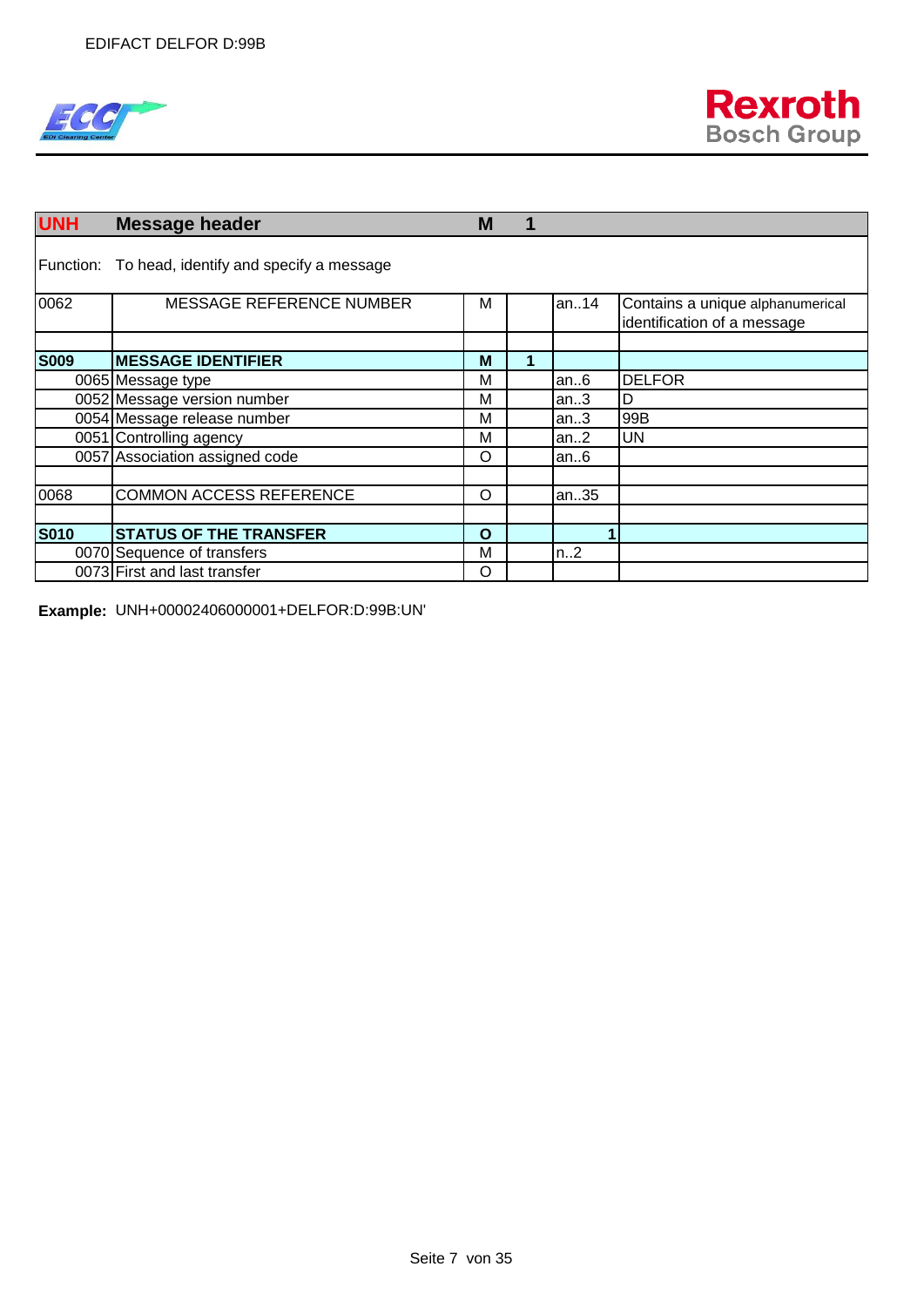

| <b>UNH</b>  | <b>Message header</b>                             | M            |   |          |                                                                 |
|-------------|---------------------------------------------------|--------------|---|----------|-----------------------------------------------------------------|
|             | Function: To head, identify and specify a message |              |   |          |                                                                 |
| 0062        | <b>MESSAGE REFERENCE NUMBER</b>                   | м            |   | an. $14$ | Contains a unique alphanumerical<br>identification of a message |
|             |                                                   |              |   |          |                                                                 |
| <b>S009</b> | <b>MESSAGE IDENTIFIER</b>                         | M            | 4 |          |                                                                 |
|             | 0065 Message type                                 | M            |   | an $6$   | <b>DELFOR</b>                                                   |
|             | 0052 Message version number                       | M            |   | an.3     | D                                                               |
|             | 0054 Message release number                       | M            |   | an.3     | 99B                                                             |
|             | 0051 Controlling agency                           | M            |   | an.2     | <b>UN</b>                                                       |
|             | 0057 Association assigned code                    | O            |   | an. $6$  |                                                                 |
|             |                                                   |              |   |          |                                                                 |
| 0068        | <b>COMMON ACCESS REFERENCE</b>                    | O            |   | an35     |                                                                 |
|             |                                                   |              |   |          |                                                                 |
| <b>S010</b> | <b>STATUS OF THE TRANSFER</b>                     | $\mathbf{o}$ |   |          |                                                                 |
|             | 0070 Sequence of transfers                        | M            |   | n.2      |                                                                 |
|             | 0073 First and last transfer                      | O            |   |          |                                                                 |

**Example:** UNH+00002406000001+DELFOR:D:99B:UN'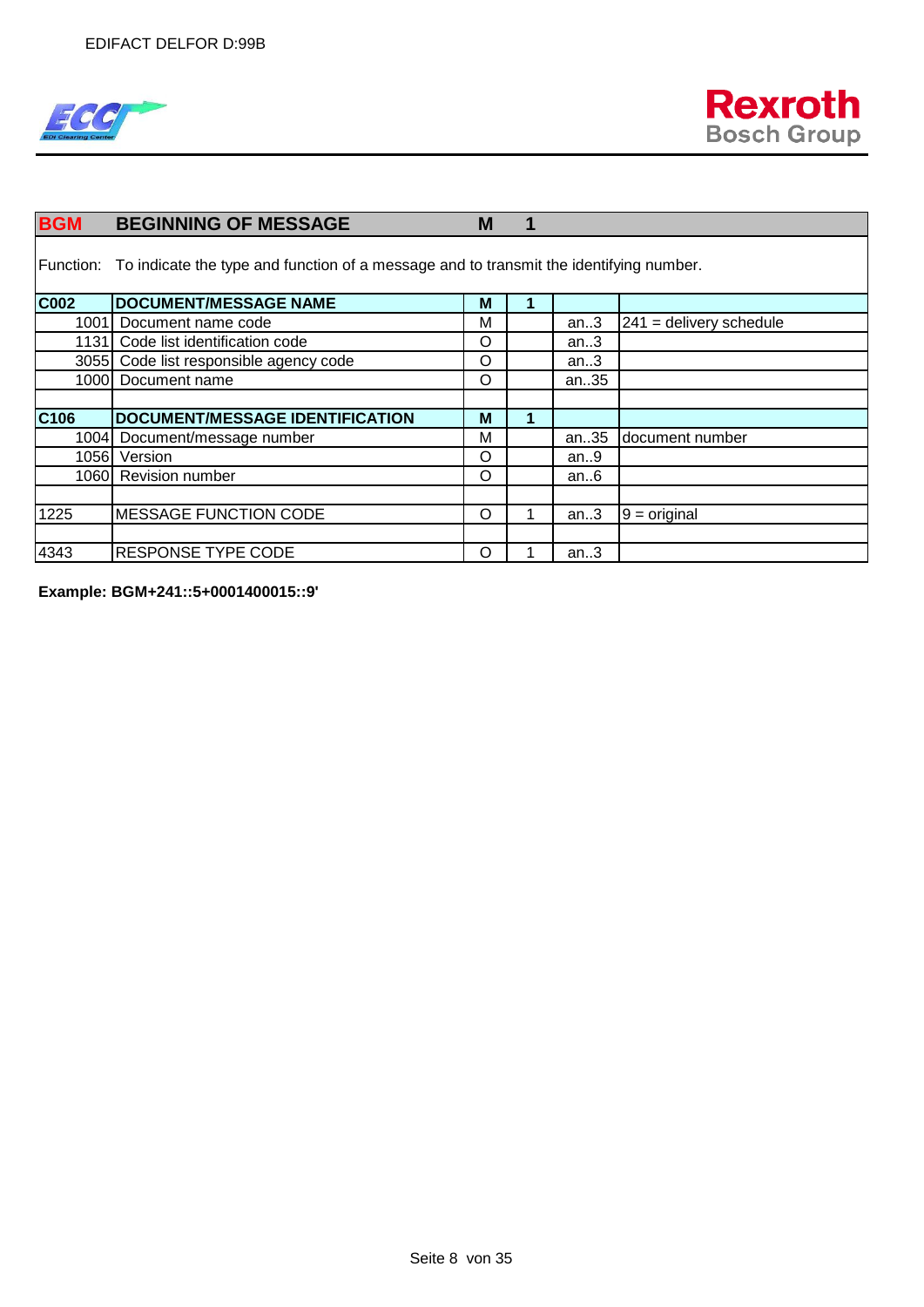



| <b>BGM</b>       | <b>BEGINNING OF MESSAGE</b>                                                                      | M | ۹ |        |                           |
|------------------|--------------------------------------------------------------------------------------------------|---|---|--------|---------------------------|
|                  | Function: To indicate the type and function of a message and to transmit the identifying number. |   |   |        |                           |
| <b>C002</b>      | <b>DOCUMENT/MESSAGE NAME</b>                                                                     | M |   |        |                           |
| 1001             | Document name code                                                                               | M |   | an.3   | $241$ = delivery schedule |
|                  | 1131 Code list identification code                                                               | O |   | an $3$ |                           |
|                  | 3055 Code list responsible agency code                                                           | O |   | an.3   |                           |
|                  | 1000 Document name                                                                               | O |   | an35   |                           |
|                  |                                                                                                  |   |   |        |                           |
| C <sub>106</sub> | DOCUMENT/MESSAGE IDENTIFICATION                                                                  | M | 1 |        |                           |
|                  | 1004 Document/message number                                                                     | M |   | an35   | document number           |
|                  | 1056 Version                                                                                     | O |   | an.9   |                           |
|                  | 1060 Revision number                                                                             | O |   | an.6   |                           |
|                  |                                                                                                  |   |   |        |                           |
| 1225             | <b>MESSAGE FUNCTION CODE</b>                                                                     | O |   | an.3   | $9 = original$            |
|                  |                                                                                                  |   |   |        |                           |
| 4343             | <b>RESPONSE TYPE CODE</b>                                                                        | O |   | an.3   |                           |

**Example: BGM+241::5+0001400015::9'**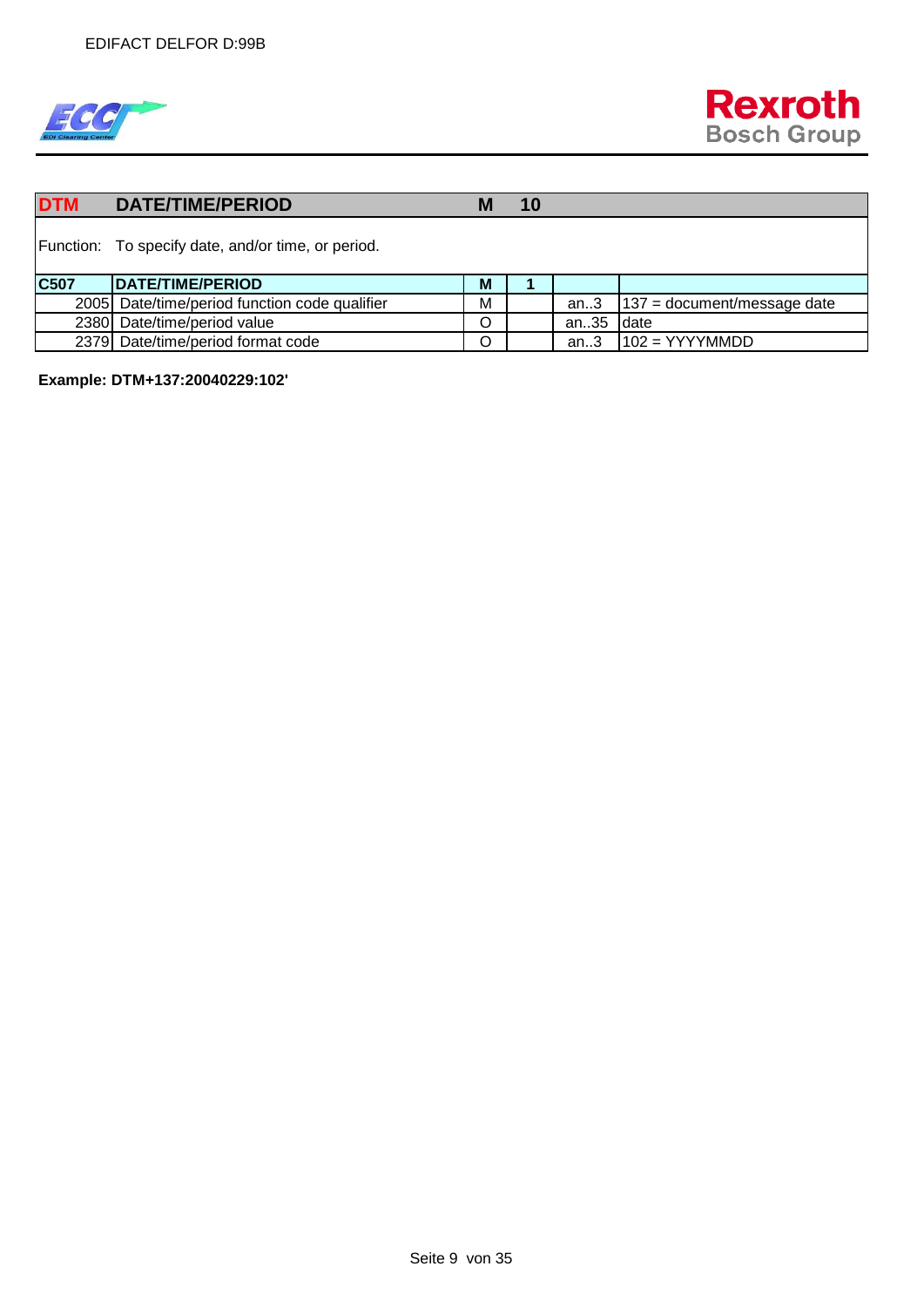

| <b>DTM</b> | <b>DATE/TIME/PERIOD</b>                            | M | 10 |      |                               |
|------------|----------------------------------------------------|---|----|------|-------------------------------|
|            | Function: To specify date, and/or time, or period. |   |    |      |                               |
| C507       | DATE/TIME/PERIOD                                   | M |    |      |                               |
|            | 2005 Date/time/period function code qualifier      | М |    | an.3 | $137$ = document/message date |
|            | 2380 Date/time/period value                        | O |    | an35 | Idate                         |
|            | 2379 Date/time/period format code                  | O |    | an.3 | $102 = YYYYMMDD$              |

**Example: DTM+137:20040229:102'**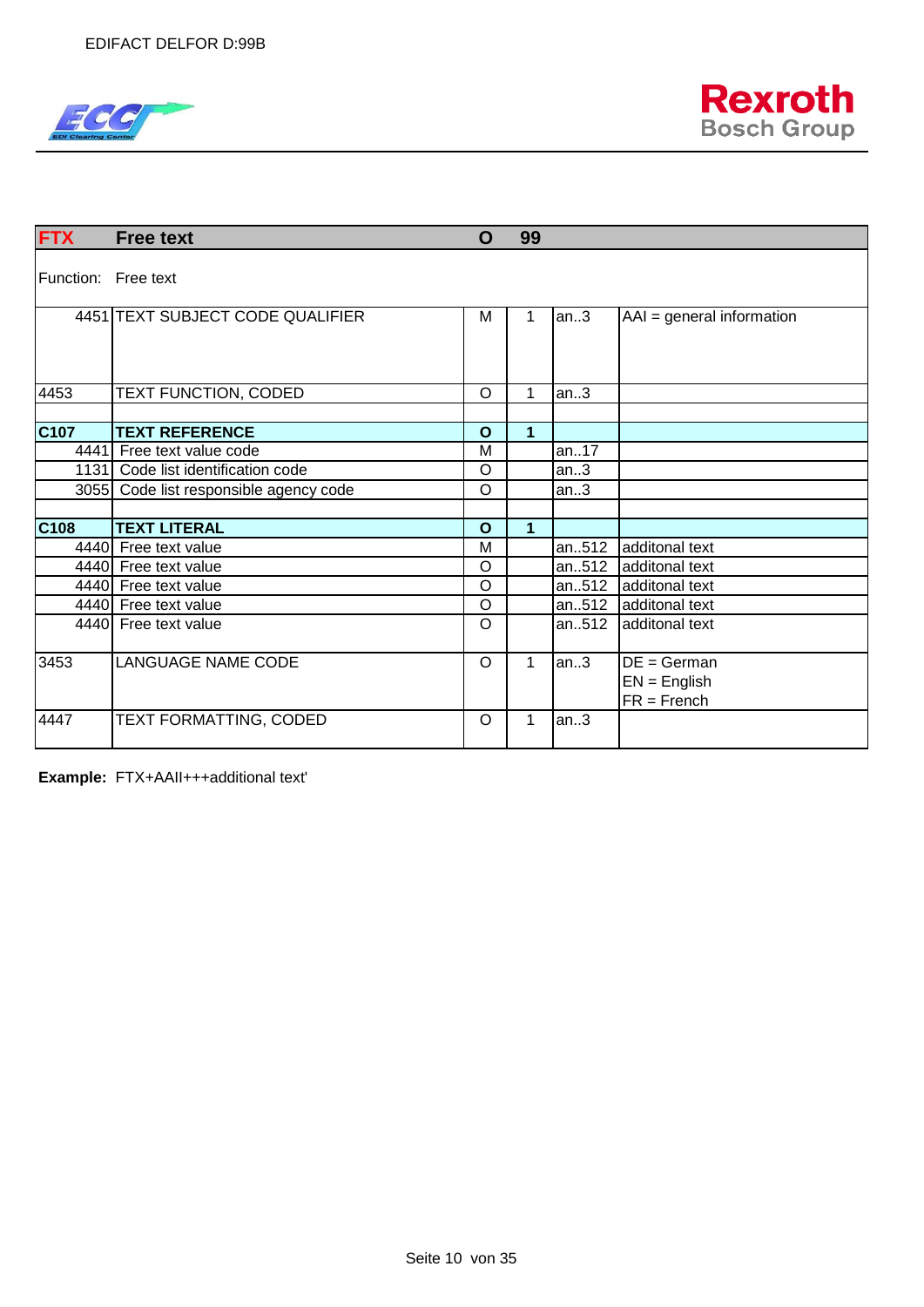



| <b>FTX</b>          | <b>Free text</b>                       | O            | 99          |       |                                                  |
|---------------------|----------------------------------------|--------------|-------------|-------|--------------------------------------------------|
| Function: Free text |                                        |              |             |       |                                                  |
|                     | 4451 TEXT SUBJECT CODE QUALIFIER       | М            | 1           | an.3  | $AAI = general information$                      |
| 4453                | TEXT FUNCTION, CODED                   | $\circ$      | 1           | an.3  |                                                  |
|                     |                                        |              |             |       |                                                  |
| C107                | <b>TEXT REFERENCE</b>                  | $\mathbf O$  | 1           |       |                                                  |
|                     | 4441 Free text value code              | M            |             | an17  |                                                  |
|                     | 1131 Code list identification code     | $\circ$      |             | an.3  |                                                  |
|                     | 3055 Code list responsible agency code | $\circ$      |             | an.3  |                                                  |
|                     |                                        |              |             |       |                                                  |
| C <sub>108</sub>    | <b>TEXT LITERAL</b>                    | $\mathbf{o}$ | 1           |       |                                                  |
|                     | 4440 Free text value                   | M            |             | an512 | additonal text                                   |
|                     | 4440 Free text value                   | $\circ$      |             | an512 | additonal text                                   |
|                     | 4440 Free text value                   | $\circ$      |             | an512 | additonal text                                   |
|                     | 4440 Free text value                   | $\circ$      |             | an512 | additonal text                                   |
|                     | 4440 Free text value                   | $\circ$      |             | an512 | additonal text                                   |
| 3453                | <b>LANGUAGE NAME CODE</b>              | O            | $\mathbf 1$ | an.3  | $DE = German$<br>$EN = English$<br>$FR = French$ |
| 4447                | TEXT FORMATTING, CODED                 | O            | 1           | an.3  |                                                  |

**Example:** FTX+AAII+++additional text'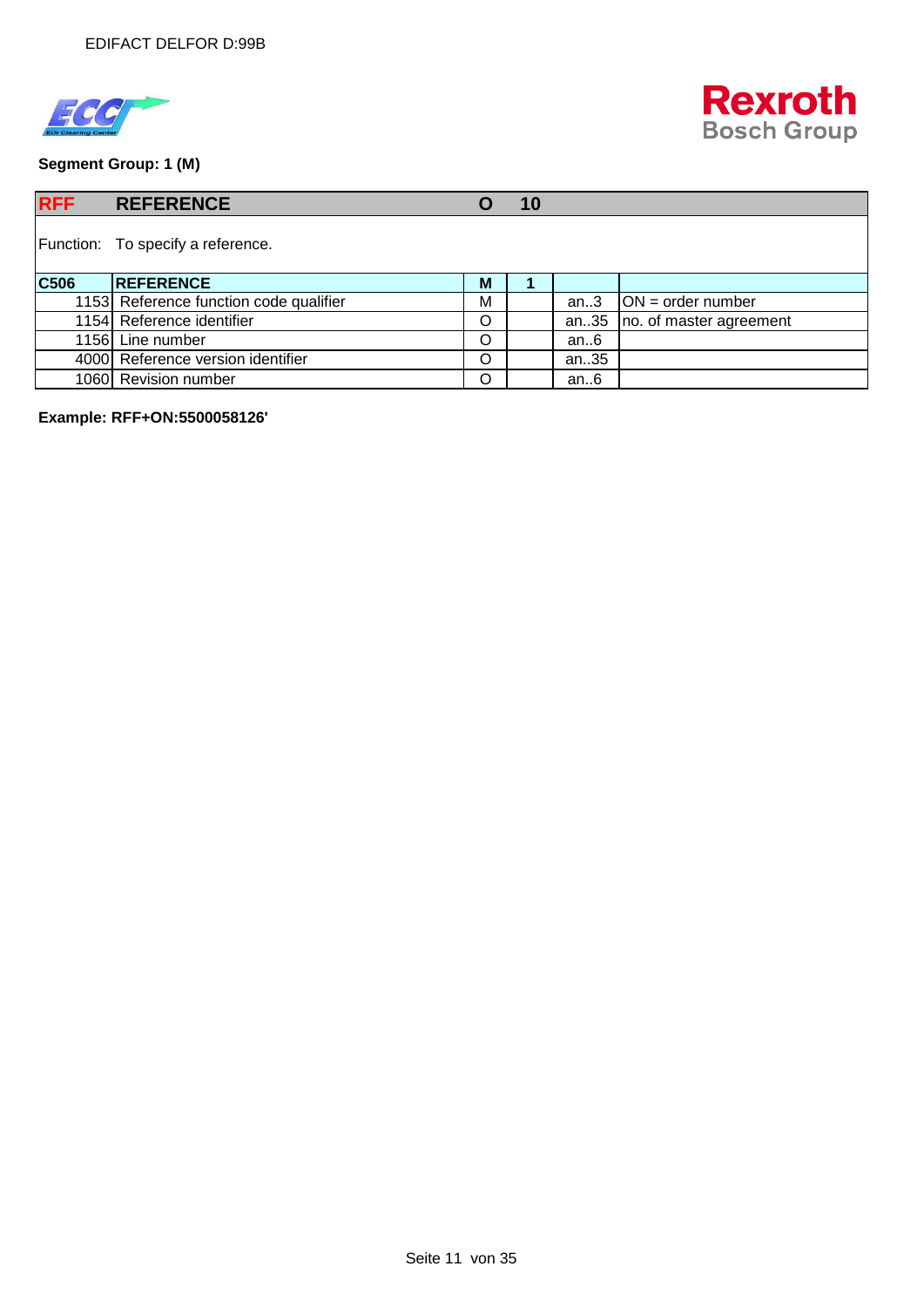



**Segment Group: 1 (M)**

| <b>RFF</b> | <b>REFERENCE</b>                       | O | 10 |        |                         |
|------------|----------------------------------------|---|----|--------|-------------------------|
|            | Function: To specify a reference.      |   |    |        |                         |
| C506       | <b>IREFERENCE</b>                      | M |    |        |                         |
|            | 1153 Reference function code qualifier | M |    | an.3   | $ON = order number$     |
|            | 1154 Reference identifier              | O |    | an35   | no. of master agreement |
|            | 1156 Line number                       | O |    | an $6$ |                         |
|            | 4000 Reference version identifier      | O |    | an35   |                         |
|            | 1060 Revision number                   | O |    | an $6$ |                         |

**Example: RFF+ON:5500058126'**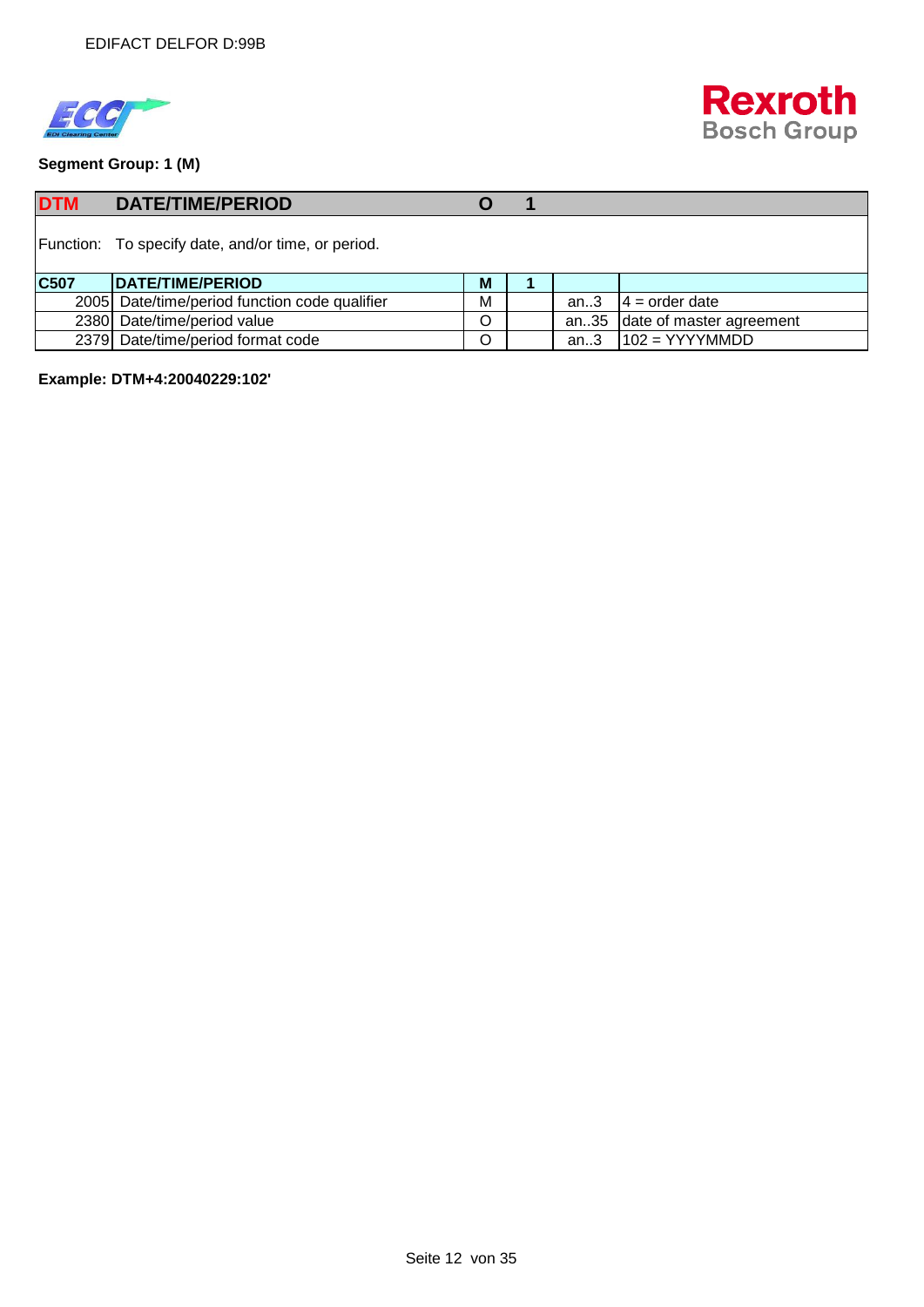



**Segment Group: 1 (M)**

| <b>DTM</b> | <b>DATE/TIME/PERIOD</b>                            |         |        |                          |
|------------|----------------------------------------------------|---------|--------|--------------------------|
|            | Function: To specify date, and/or time, or period. |         |        |                          |
| C507       | DATE/TIME/PERIOD                                   | M       |        |                          |
|            | 2005 Date/time/period function code qualifier      | M       | an $3$ | $14 = \text{order date}$ |
|            | 2380 Date/time/period value                        | O       | an35   | date of master agreement |
|            | 2379 Date/time/period format code                  | $\circ$ | an.3   | $102 = YYYYMMDD$         |

**Example: DTM+4:20040229:102'**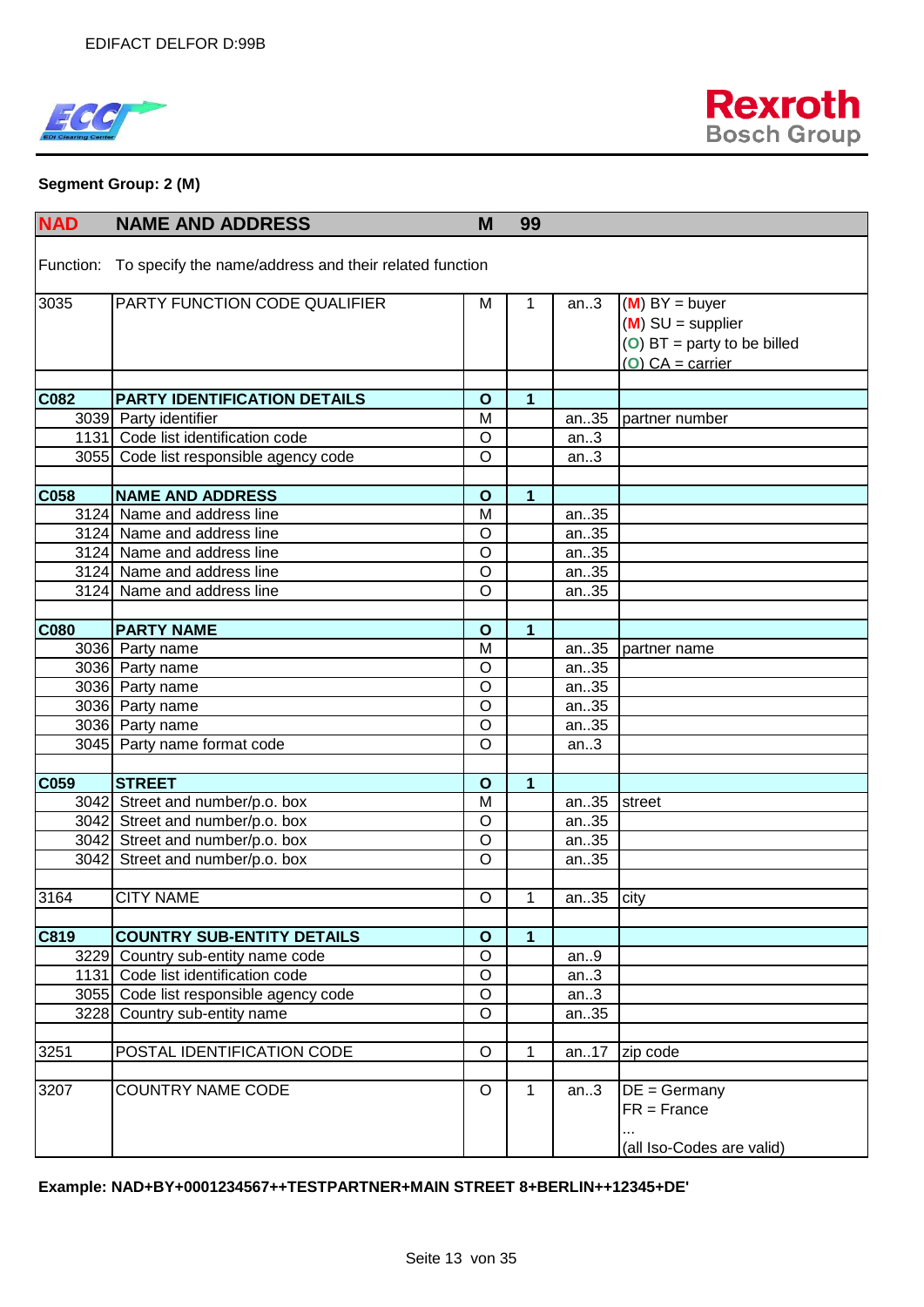



#### **Segment Group: 2 (M)**

| <b>NAD</b>  | <b>NAME AND ADDRESS</b>                                          | M              | 99             |      |                               |
|-------------|------------------------------------------------------------------|----------------|----------------|------|-------------------------------|
|             | Function: To specify the name/address and their related function |                |                |      |                               |
|             |                                                                  |                |                |      |                               |
| 3035        | PARTY FUNCTION CODE QUALIFIER                                    | Μ              | 1              | an.3 | $(M) BY = buyer$              |
|             |                                                                  |                |                |      | $(M)$ SU = supplier           |
|             |                                                                  |                |                |      | (O) $BT =$ party to be billed |
|             |                                                                  |                |                |      | $(O) CA = carrier$            |
|             |                                                                  |                |                |      |                               |
| C082        | <b>PARTY IDENTIFICATION DETAILS</b>                              | $\mathbf{o}$   | 1              |      |                               |
|             | 3039 Party identifier                                            | M              |                | an35 | partner number                |
|             | 1131 Code list identification code                               | O              |                | an.3 |                               |
|             | 3055 Code list responsible agency code                           | O              |                | an.3 |                               |
| C058        | <b>NAME AND ADDRESS</b>                                          | $\mathbf{o}$   | $\mathbf{1}$   |      |                               |
|             | 3124 Name and address line                                       | M              |                | an35 |                               |
|             | 3124 Name and address line                                       | O              |                | an35 |                               |
|             | 3124 Name and address line                                       | $\circ$        |                | an35 |                               |
|             | 3124 Name and address line                                       | O              |                | an35 |                               |
|             | 3124 Name and address line                                       | $\circ$        |                | an35 |                               |
|             |                                                                  |                |                |      |                               |
| <b>C080</b> | <b>PARTY NAME</b>                                                | $\mathbf{o}$   | $\overline{1}$ |      |                               |
|             | 3036 Party name                                                  | M              |                | an35 | partner name                  |
|             | 3036 Party name                                                  | $\circ$        |                | an35 |                               |
|             | 3036 Party name                                                  | O              |                | an35 |                               |
|             | 3036 Party name                                                  | $\overline{0}$ |                | an35 |                               |
|             | 3036 Party name                                                  | O              |                | an35 |                               |
|             | 3045 Party name format code                                      | $\circ$        |                | an.3 |                               |
|             |                                                                  |                |                |      |                               |
| C059        | <b>STREET</b>                                                    | $\mathbf{o}$   | 1              |      |                               |
|             | 3042 Street and number/p.o. box                                  | M              |                | an35 | street                        |
|             | 3042 Street and number/p.o. box                                  | $\circ$        |                | an35 |                               |
|             | 3042 Street and number/p.o. box                                  | $\circ$        |                | an35 |                               |
|             | 3042 Street and number/p.o. box                                  | $\circ$        |                | an35 |                               |
|             |                                                                  |                |                |      |                               |
| 3164        | <b>CITY NAME</b>                                                 | $\circ$        | 1              | an35 | city                          |
|             |                                                                  |                |                |      |                               |
| C819        | <b>COUNTRY SUB-ENTITY DETAILS</b>                                | $\mathbf{o}$   | $\overline{1}$ |      |                               |
|             | 3229 Country sub-entity name code                                | $\overline{O}$ |                | an.9 |                               |
|             | 1131 Code list identification code                               | $\circ$        |                | an.3 |                               |
|             | 3055 Code list responsible agency code                           | $\circ$        |                | an.3 |                               |
|             | 3228 Country sub-entity name                                     | $\circ$        |                | an35 |                               |
|             | POSTAL IDENTIFICATION CODE                                       |                |                |      |                               |
| 3251        |                                                                  | $\circ$        | 1              | an17 | zip code                      |
| 3207        | <b>COUNTRY NAME CODE</b>                                         | $\circ$        | 1              | an.3 | $DE = Germany$                |
|             |                                                                  |                |                |      | $FR = France$                 |
|             |                                                                  |                |                |      |                               |
|             |                                                                  |                |                |      | (all Iso-Codes are valid)     |
|             |                                                                  |                |                |      |                               |

#### **Example: NAD+BY+0001234567++TESTPARTNER+MAIN STREET 8+BERLIN++12345+DE'**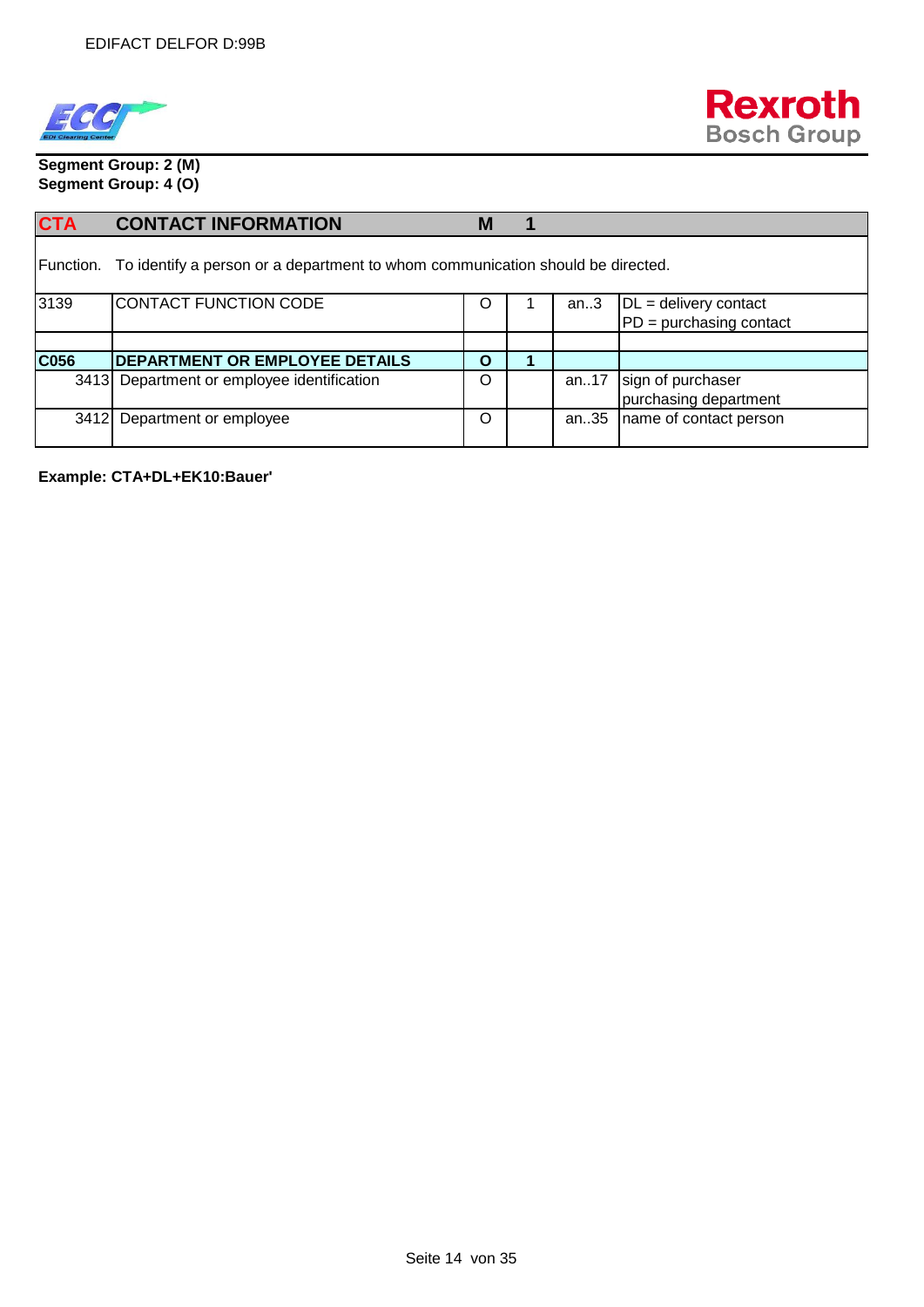



**Segment Group: 2 (M) Segment Group: 4 (O)**

| <b>CTA</b> | <b>CONTACT INFORMATION</b>                                                               | M |      |                           |
|------------|------------------------------------------------------------------------------------------|---|------|---------------------------|
|            | Function. To identify a person or a department to whom communication should be directed. |   |      |                           |
| 3139       | CONTACT FUNCTION CODE                                                                    | Ő | an.3 | $DL =$ delivery contact   |
|            |                                                                                          |   |      | $PD =$ purchasing contact |
|            |                                                                                          |   |      |                           |
| C056       | DEPARTMENT OR EMPLOYEE DETAILS                                                           | O |      |                           |
|            | 3413 Department or employee identification                                               | O | an17 | sign of purchaser         |
|            |                                                                                          |   |      | purchasing department     |
| 3412L      | Department or employee                                                                   | O | an35 | name of contact person    |

**Example: CTA+DL+EK10:Bauer'**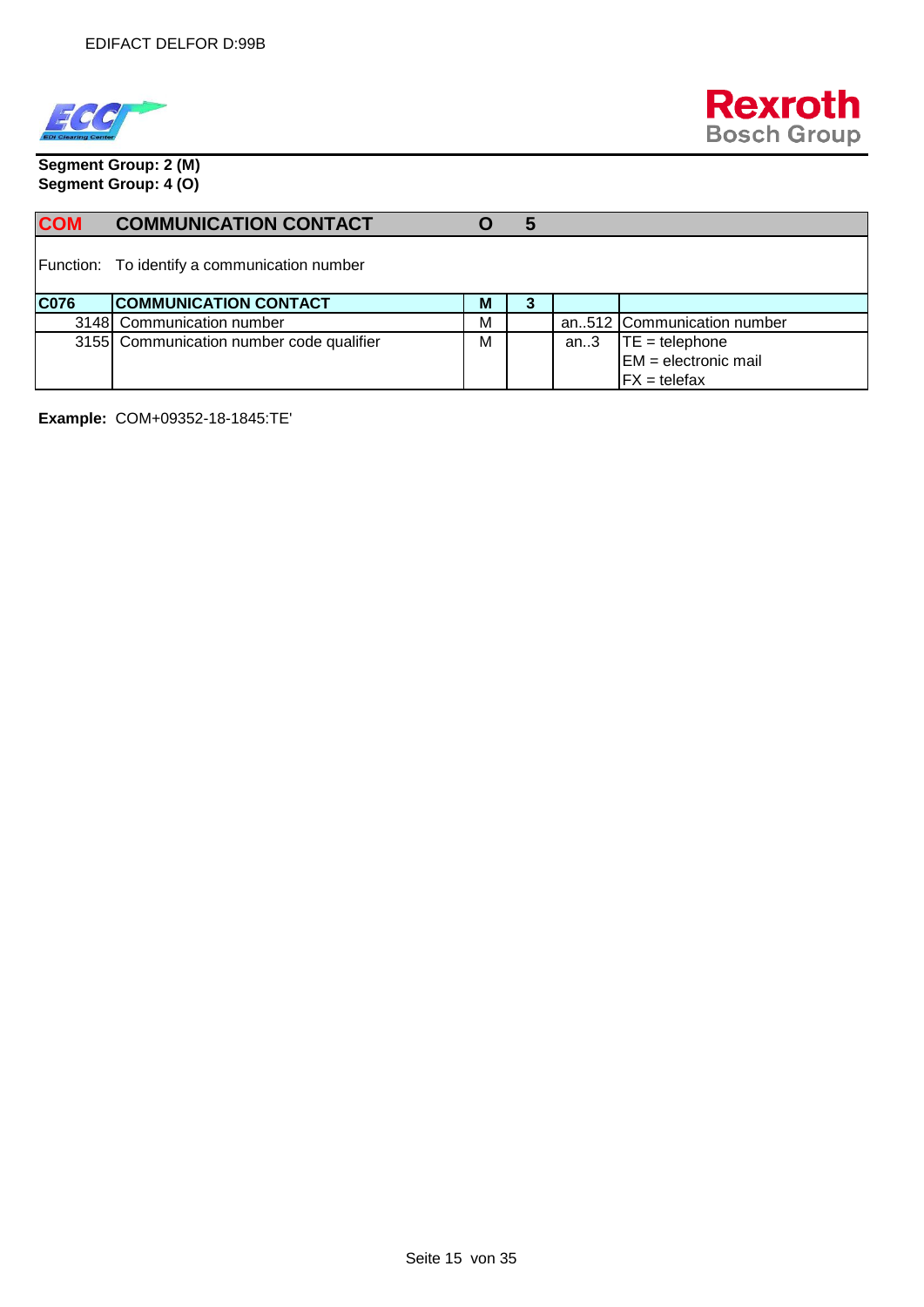



**Segment Group: 2 (M) Segment Group: 4 (O)**

| <b>COM</b>  | <b>COMMUNICATION CONTACT</b>                 |   | 5 |      |                            |
|-------------|----------------------------------------------|---|---|------|----------------------------|
|             | Function: To identify a communication number |   |   |      |                            |
| <b>C076</b> | <b>COMMUNICATION CONTACT</b>                 | М | 3 |      |                            |
|             | 3148 Communication number                    | М |   |      | an512 Communication number |
|             | 3155 Communication number code qualifier     | М |   | an.3 | $TE = telephone$           |
|             |                                              |   |   |      | $EM =$ electronic mail     |
|             |                                              |   |   |      | $FX = telefax$             |

**Example:** COM+09352-18-1845:TE'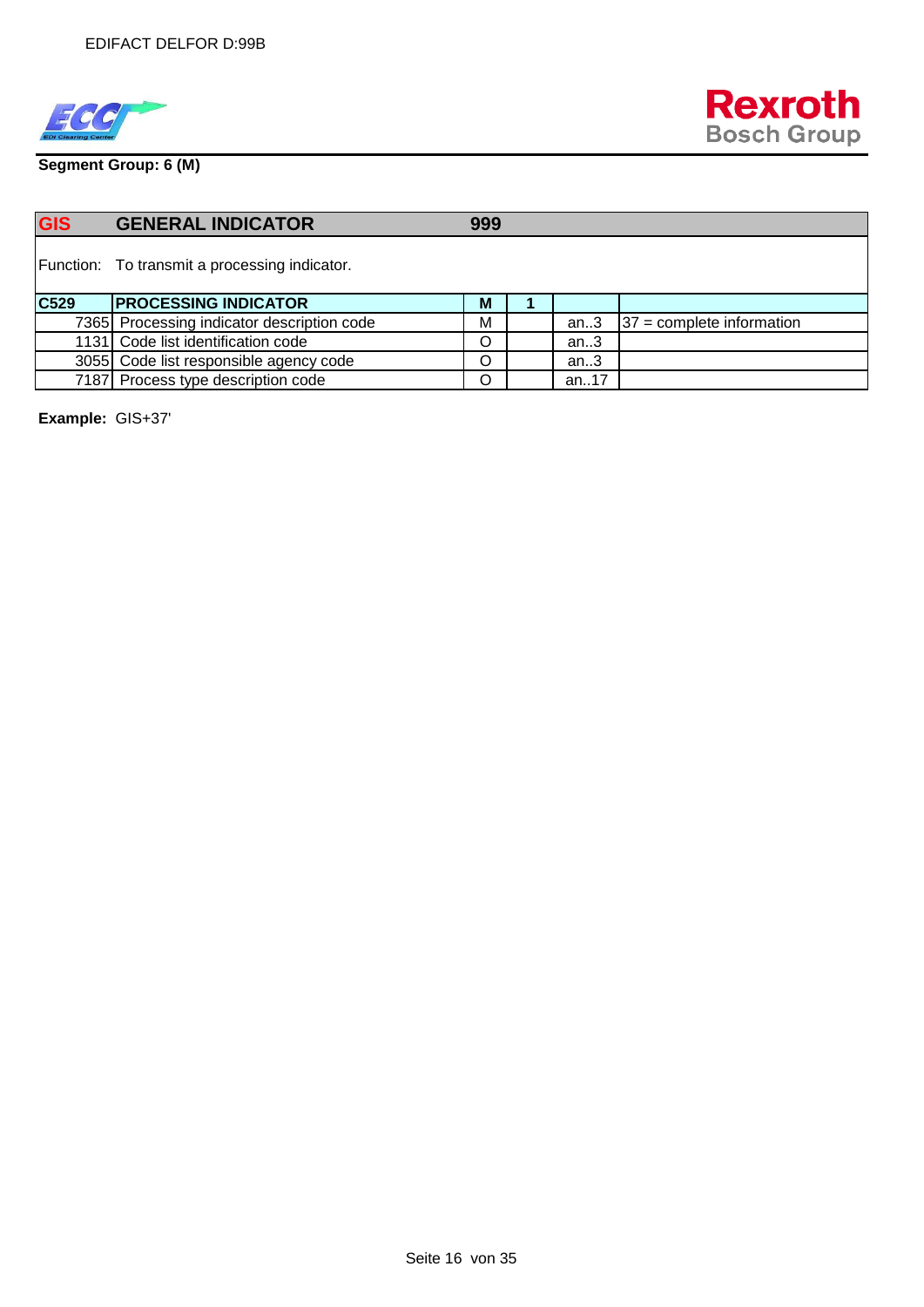



**Segment Group: 6 (M)**

| <b>GIS</b> | <b>GENERAL INDICATOR</b>                      | 999 |           |                             |
|------------|-----------------------------------------------|-----|-----------|-----------------------------|
|            | Function: To transmit a processing indicator. |     |           |                             |
| C529       | <b>PROCESSING INDICATOR</b>                   | M   |           |                             |
|            | 7365 Processing indicator description code    | M   | an.3      | $37$ = complete information |
|            | 1131 Code list identification code            | O   | an.3      |                             |
|            | 3055 Code list responsible agency code        | O   | an.3      |                             |
|            | 7187 Process type description code            | O   | an. $.17$ |                             |

**Example:** GIS+37'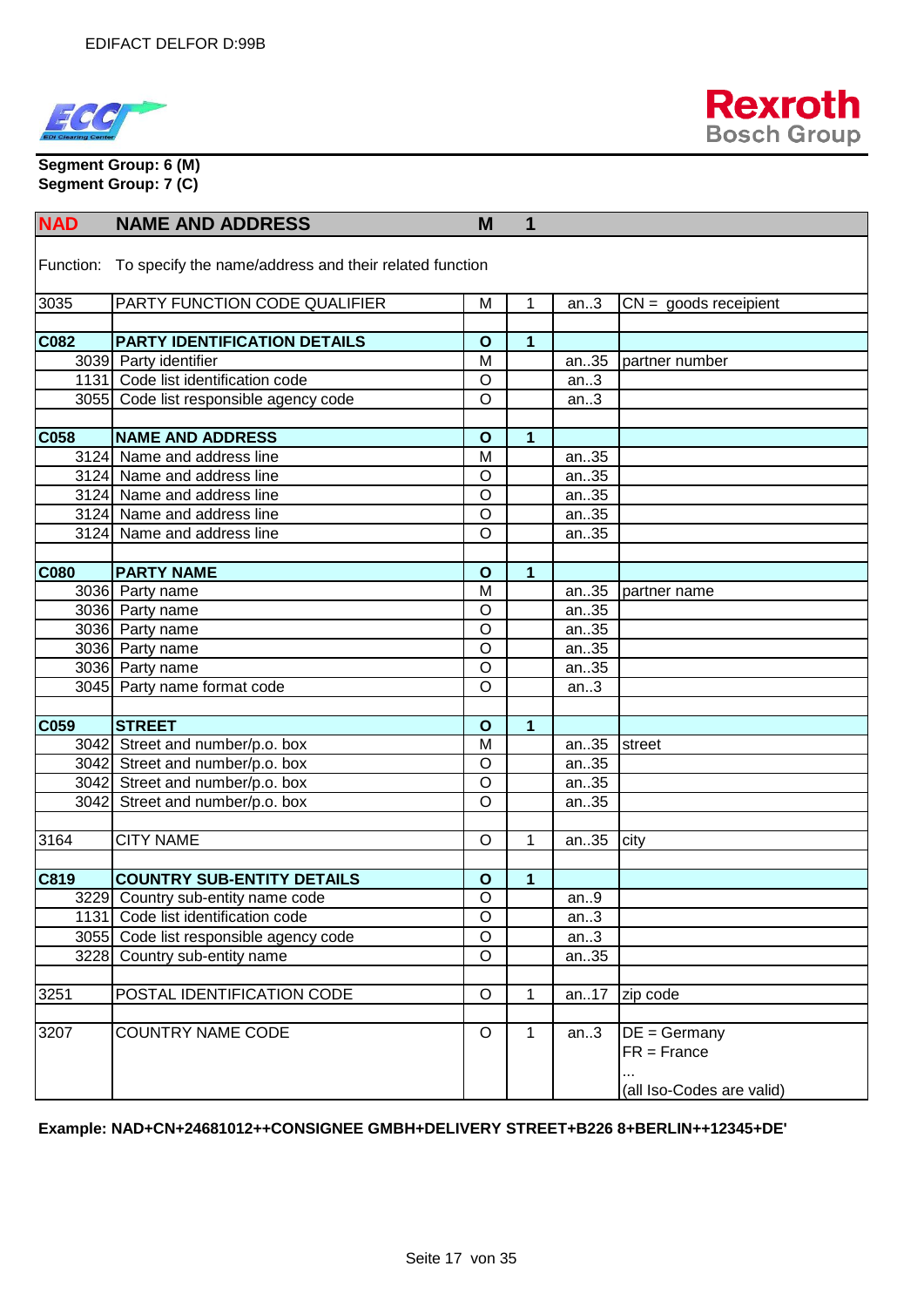



**Segment Group: 6 (M) Segment Group: 7 (C)**

| <b>NAD</b>  | <b>NAME AND ADDRESS</b>                                          | M              | 1            |       |                           |
|-------------|------------------------------------------------------------------|----------------|--------------|-------|---------------------------|
|             | Function: To specify the name/address and their related function |                |              |       |                           |
| 3035        | PARTY FUNCTION CODE QUALIFIER                                    | M              | 1            | an.3  | $CN =$ goods receipient   |
|             |                                                                  |                |              |       |                           |
| C082        | PARTY IDENTIFICATION DETAILS                                     | $\mathbf{o}$   | 1            |       |                           |
|             | 3039 Party identifier                                            | M              |              | an35  | partner number            |
|             | 1131 Code list identification code                               | $\circ$        |              | an.3  |                           |
|             | 3055 Code list responsible agency code                           | $\circ$        |              | an.3  |                           |
|             |                                                                  |                |              |       |                           |
| C058        | <b>NAME AND ADDRESS</b>                                          | $\mathbf{o}$   | 1            |       |                           |
|             | 3124 Name and address line                                       | M              |              | an35  |                           |
|             | 3124 Name and address line                                       | $\circ$        |              | an35  |                           |
|             | 3124 Name and address line                                       | $\circ$        |              | an35  |                           |
|             | 3124 Name and address line                                       | $\circ$        |              | an35  |                           |
|             | 3124 Name and address line                                       | $\circ$        |              | an35  |                           |
|             |                                                                  |                |              |       |                           |
| <b>C080</b> | <b>PARTY NAME</b>                                                | $\mathbf{o}$   | $\mathbf{1}$ |       |                           |
|             | 3036 Party name                                                  | M              |              | an35  | partner name              |
|             | 3036 Party name                                                  | $\circ$        |              | an35  |                           |
|             | 3036 Party name                                                  | $\circ$        |              | an35  |                           |
|             | 3036 Party name                                                  | $\circ$        |              | an35  |                           |
|             | 3036 Party name                                                  | $\overline{O}$ |              | an35  |                           |
|             | 3045 Party name format code                                      | $\circ$        |              | an.3  |                           |
|             |                                                                  |                |              |       |                           |
| C059        | <b>STREET</b>                                                    | $\mathbf{o}$   | 1            |       |                           |
|             | 3042 Street and number/p.o. box                                  | M              |              | an35  | street                    |
|             | 3042 Street and number/p.o. box                                  | $\circ$        |              | an35  |                           |
|             | 3042 Street and number/p.o. box                                  | $\circ$        |              | an35  |                           |
|             | 3042 Street and number/p.o. box                                  | $\circ$        |              | an35  |                           |
|             |                                                                  |                |              |       |                           |
| 3164        | <b>CITY NAME</b>                                                 | $\circ$        | 1            | an35  | city                      |
|             |                                                                  |                |              |       |                           |
| C819        | <b>COUNTRY SUB-ENTITY DETAILS</b>                                | $\mathbf{o}$   | 1            |       |                           |
|             | 3229 Country sub-entity name code                                | $\overline{O}$ |              | an.9  |                           |
|             | 1131 Code list identification code                               | $\circ$        |              | an.3  |                           |
|             | 3055 Code list responsible agency code                           | $\circ$        |              | an.3  |                           |
|             | 3228 Country sub-entity name                                     | $\circ$        |              | an35  |                           |
|             |                                                                  |                |              |       |                           |
| 3251        | POSTAL IDENTIFICATION CODE                                       | $\circ$        | 1            | an.17 | zip code                  |
|             |                                                                  |                |              |       |                           |
| 3207        | <b>COUNTRY NAME CODE</b>                                         | $\circ$        | 1            | an.3  | $DE = Germany$            |
|             |                                                                  |                |              |       | $FR =$ France             |
|             |                                                                  |                |              |       |                           |
|             |                                                                  |                |              |       | (all Iso-Codes are valid) |

#### **Example: NAD+CN+24681012++CONSIGNEE GMBH+DELIVERY STREET+B226 8+BERLIN++12345+DE'**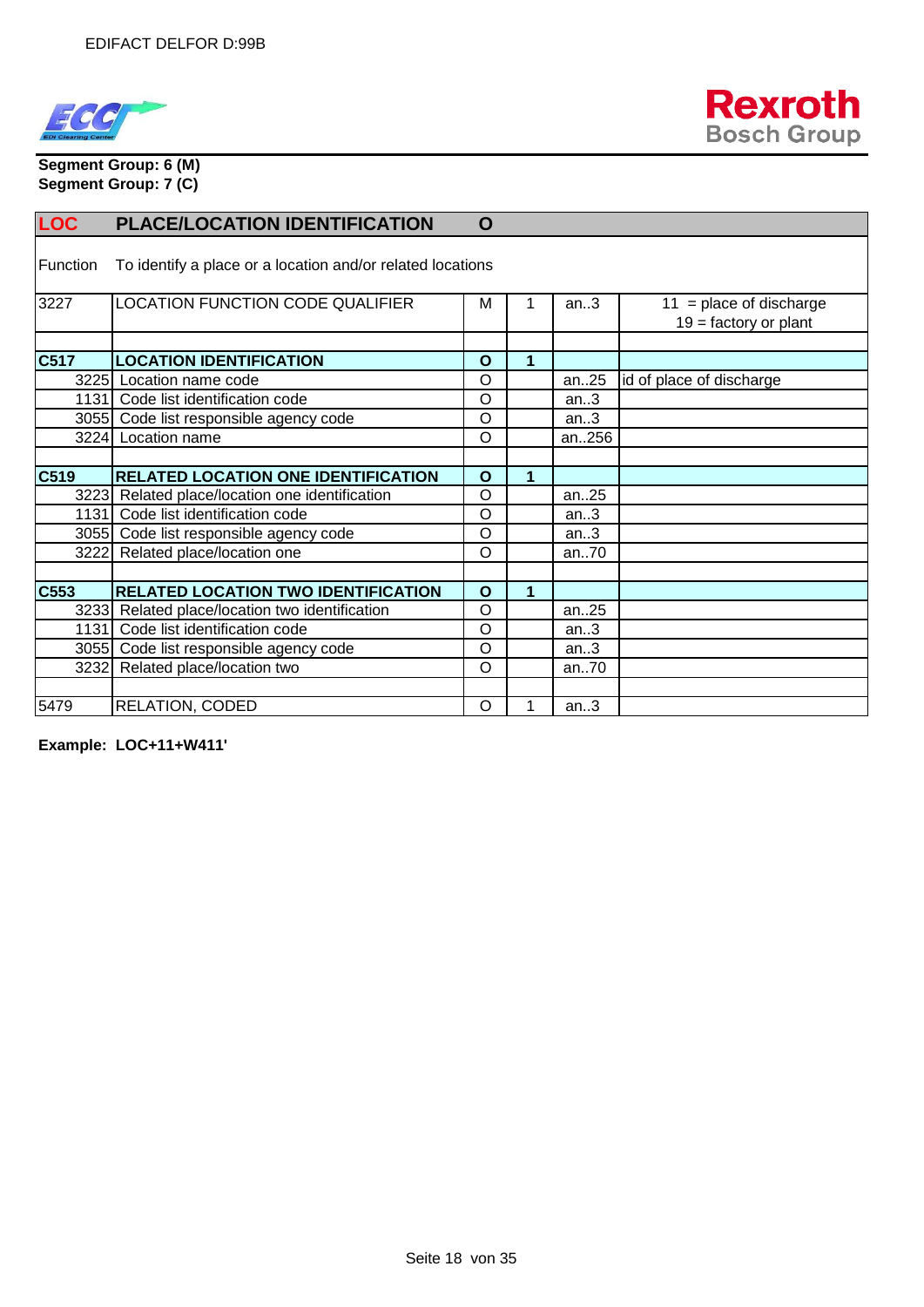



**Segment Group: 6 (M) Segment Group: 7 (C)**

| <b>LOC</b>      | <b>PLACE/LOCATION IDENTIFICATION</b>                       | $\mathbf O$  |   |       |                                                      |
|-----------------|------------------------------------------------------------|--------------|---|-------|------------------------------------------------------|
| <b>Function</b> | To identify a place or a location and/or related locations |              |   |       |                                                      |
| 3227            | LOCATION FUNCTION CODE QUALIFIER                           | M            |   | an.3  | $11$ = place of discharge<br>$19 =$ factory or plant |
| C517            | <b>LOCATION IDENTIFICATION</b>                             | $\mathbf{o}$ | 1 |       |                                                      |
|                 | 3225 Location name code                                    | $\circ$      |   | an.25 | id of place of discharge                             |
|                 | 1131 Code list identification code                         | $\circ$      |   | an.3  |                                                      |
|                 | 3055 Code list responsible agency code                     | $\circ$      |   | an.3  |                                                      |
|                 | 3224 Location name                                         | $\circ$      |   | an256 |                                                      |
|                 |                                                            |              |   |       |                                                      |
| C519            | <b>RELATED LOCATION ONE IDENTIFICATION</b>                 | $\Omega$     | 1 |       |                                                      |
|                 | 3223 Related place/location one identification             | $\circ$      |   | an.25 |                                                      |
| 1131            | Code list identification code                              | $\circ$      |   | an.3  |                                                      |
|                 | 3055 Code list responsible agency code                     | $\circ$      |   | an.3  |                                                      |
|                 | 3222 Related place/location one                            | $\circ$      |   | an70  |                                                      |
|                 |                                                            |              |   |       |                                                      |
| C553            | <b>RELATED LOCATION TWO IDENTIFICATION</b>                 | $\Omega$     | 1 |       |                                                      |
|                 | 3233 Related place/location two identification             | $\circ$      |   | an.25 |                                                      |
| 1131            | Code list identification code                              | $\circ$      |   | an.3  |                                                      |
|                 | 3055 Code list responsible agency code                     | $\circ$      |   | an.3  |                                                      |
|                 | 3232 Related place/location two                            | $\circ$      |   | an70  |                                                      |
|                 |                                                            |              |   |       |                                                      |
| 5479            | RELATION, CODED                                            | O            |   | an.3  |                                                      |

**Example: LOC+11+W411'**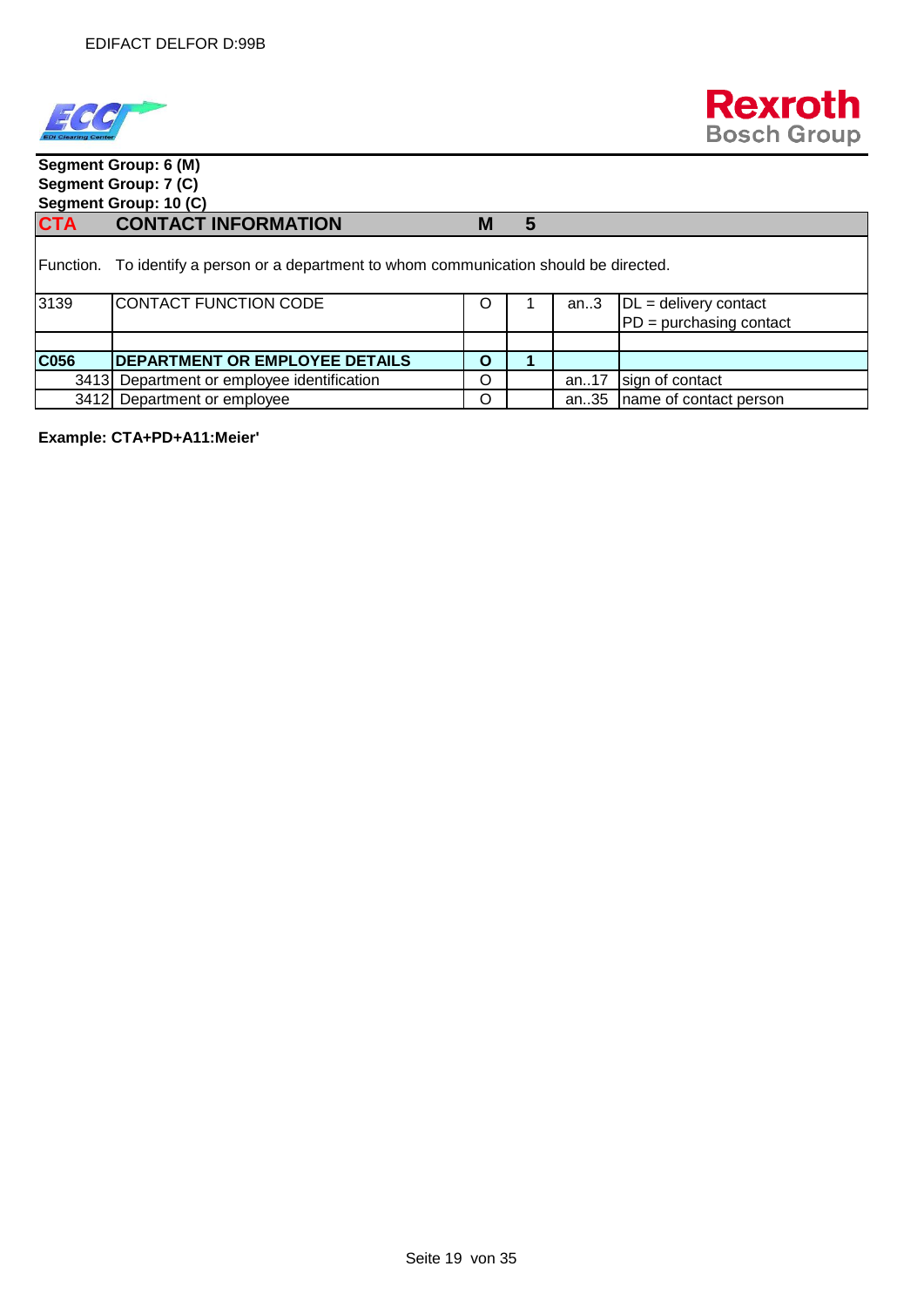



# **Segment Group: 6 (M) Segment Group: 7 (C) Segment Group: 10 (C) CTA CONTACT INFORMATION M 5** Function. To identify a person or a department to whom communication should be directed. 3139 CONTACT FUNCTION CODE | 0 | 1 | an..3 DL = delivery contact PD = purchasing contact **C056 DEPARTMENT OR EMPLOYEE DETAILS O 1**  3413 Department or employee identification **O** an..17 sign of contact 3412 Department or employee <br>  $\begin{array}{|c|c|c|c|c|c|} \hline \text{O} & \text{a} & \text{a} & \text{a} & \text{a} \\ \hline \end{array}$  Department or employee

**Example: CTA+PD+A11:Meier'**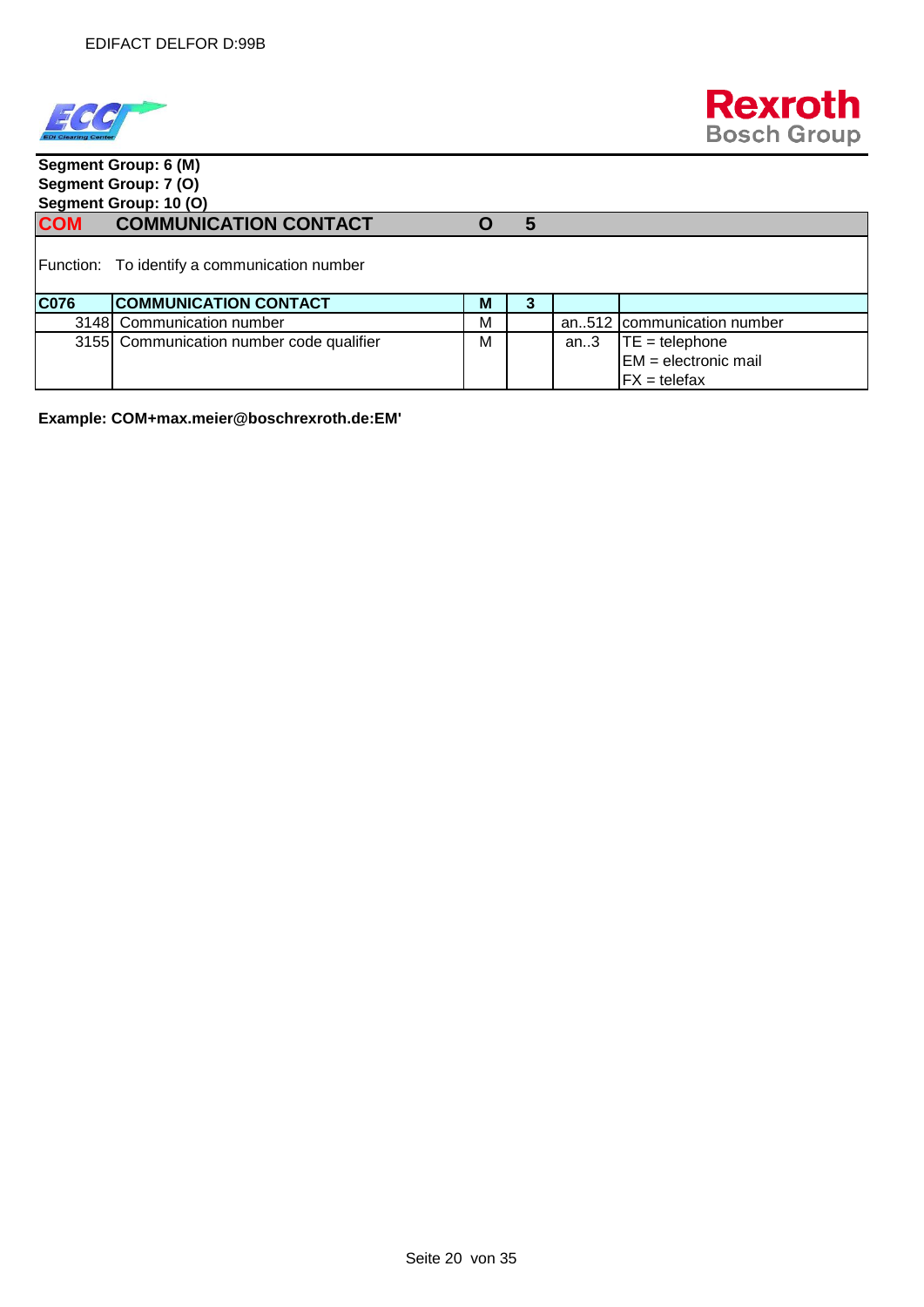



 $FX = t$ elefax

### **Segment Group: 6 (M) Segment Group: 7 (O) Segment Group: 10 (O) COM COMMUNICATION CONTACT O 5** Function: To identify a communication number **C076 COMMUNICATION CONTACT** M **M** 3 3148 Communication number M M an..512 communication number 3155 Communication number code qualifier  $\parallel M \parallel$  an..3  $\parallel TE =$  telephone EM = electronic mail

**Example: COM+max.meier@boschrexroth.de:EM'**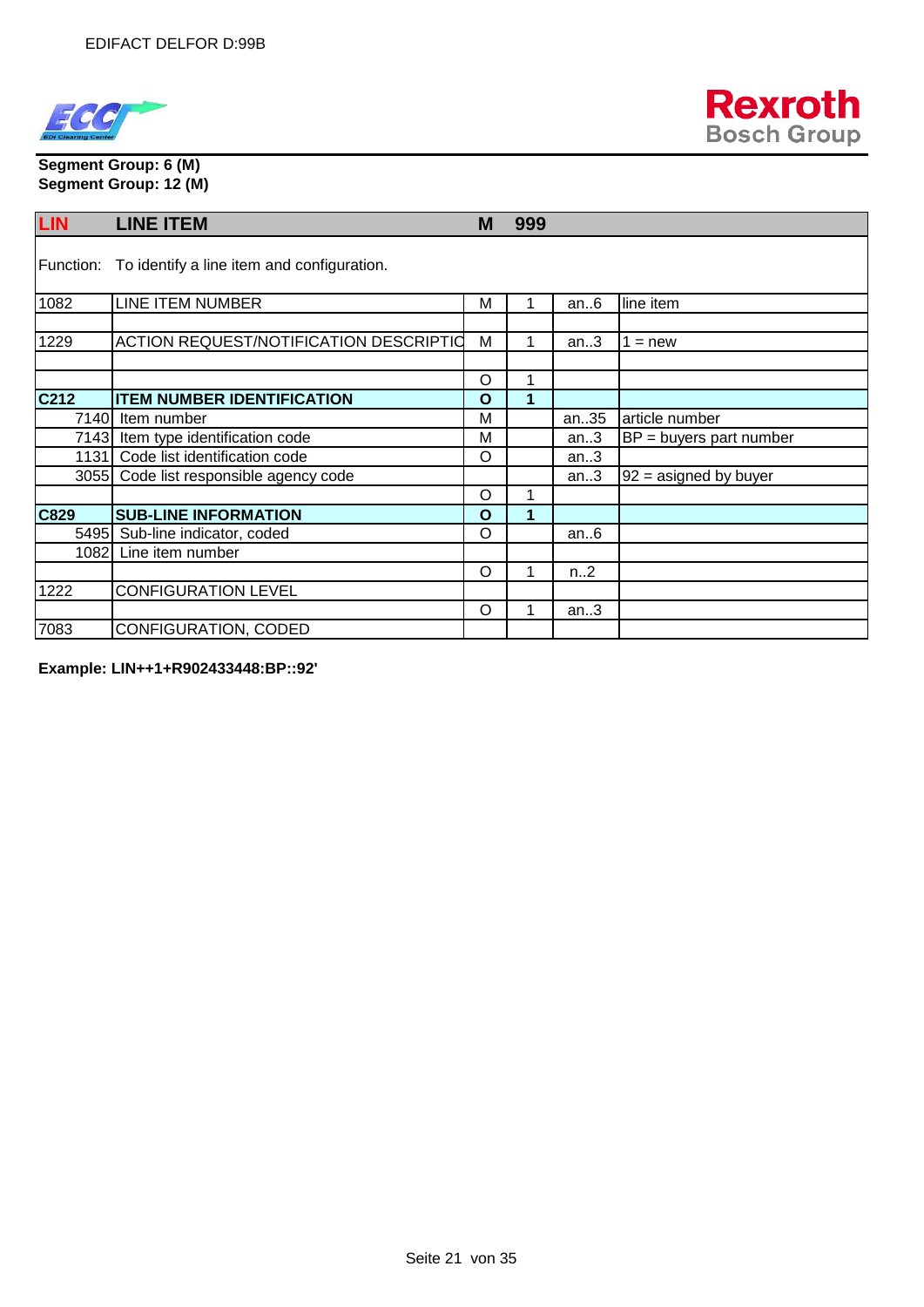



**Segment Group: 6 (M) Segment Group: 12 (M)**

| <b>LIN</b> | <b>LINE ITEM</b>                                     | M       | 999 |      |                           |
|------------|------------------------------------------------------|---------|-----|------|---------------------------|
|            | Function: To identify a line item and configuration. |         |     |      |                           |
| 1082       | LINE ITEM NUMBER                                     | М       |     | an.6 | lline item                |
| 1229       | <b>ACTION REQUEST/NOTIFICATION DESCRIPTIO</b>        | M       |     | an.3 | $=$ new                   |
|            |                                                      | O       | 4   |      |                           |
| C212       | <b>ITEM NUMBER IDENTIFICATION</b>                    | O       | ٠   |      |                           |
|            | 7140 Item number                                     | М       |     | an35 | article number            |
|            | 7143 Item type identification code                   | М       |     | an.3 | $BP =$ buyers part number |
|            | 1131 Code list identification code                   | O       |     | an.3 |                           |
|            | 3055 Code list responsible agency code               |         |     | an.3 | $92$ = asigned by buyer   |
|            |                                                      | $\circ$ |     |      |                           |
| C829       | <b>SUB-LINE INFORMATION</b>                          | O       |     |      |                           |
|            | 5495 Sub-line indicator, coded                       | O       |     | an.6 |                           |
|            | 1082 Line item number                                |         |     |      |                           |
|            |                                                      | O       |     | n.2  |                           |
| 1222       | <b>CONFIGURATION LEVEL</b>                           |         |     |      |                           |
|            |                                                      | O       |     | an.3 |                           |
| 7083       | CONFIGURATION, CODED                                 |         |     |      |                           |

**Example: LIN++1+R902433448:BP::92'**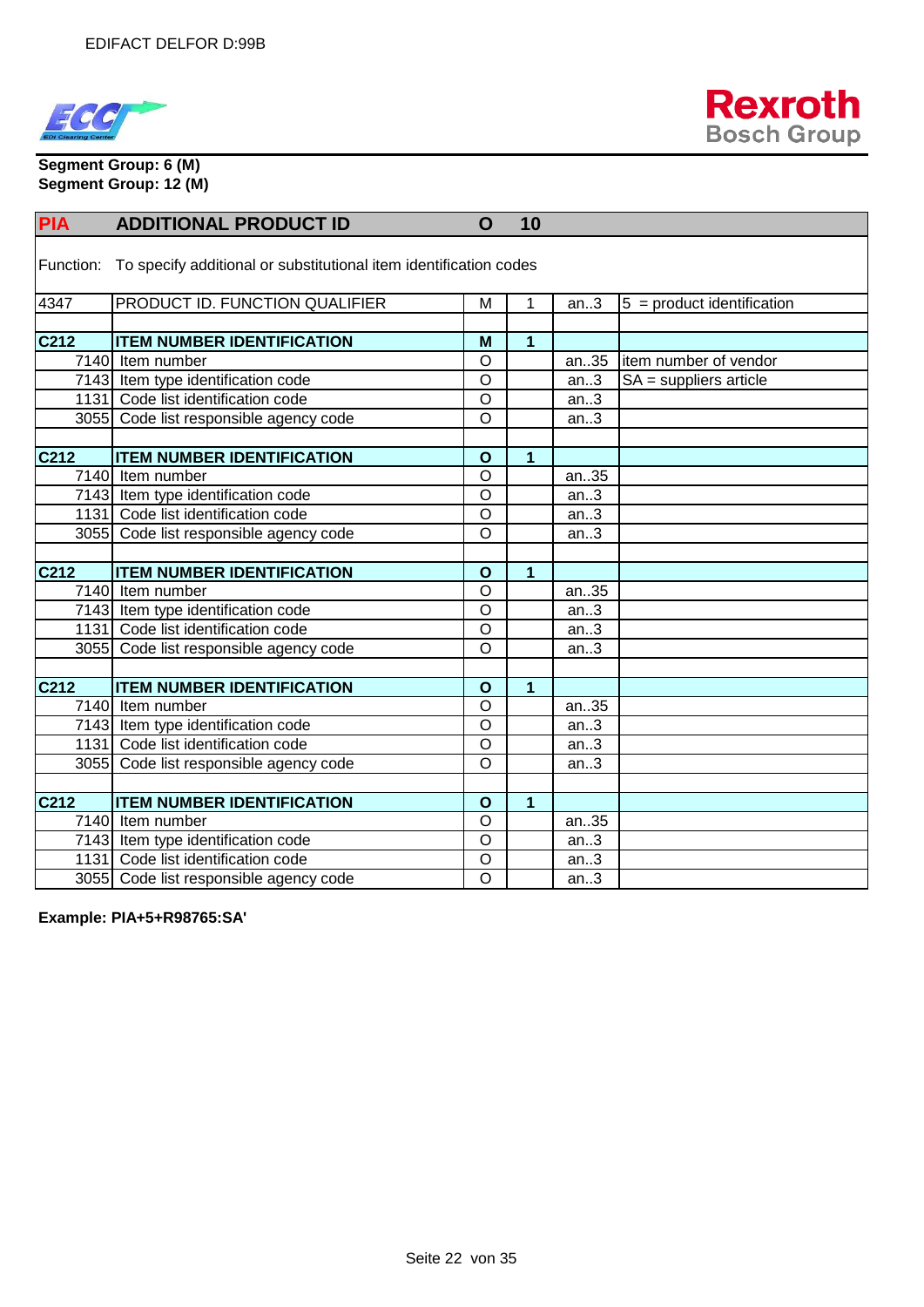



**Segment Group: 6 (M) Segment Group: 12 (M)**

| <b>PIA</b>                                                                  | <b>ADDITIONAL PRODUCT ID</b>           | $\mathbf O$    | 10             |      |                              |  |  |  |
|-----------------------------------------------------------------------------|----------------------------------------|----------------|----------------|------|------------------------------|--|--|--|
| Function: To specify additional or substitutional item identification codes |                                        |                |                |      |                              |  |  |  |
| 4347                                                                        | PRODUCT ID. FUNCTION QUALIFIER         | M              | 1              | an.3 | $5 =$ product identification |  |  |  |
|                                                                             |                                        |                |                |      |                              |  |  |  |
| C212                                                                        | <b>ITEM NUMBER IDENTIFICATION</b>      | M              | $\mathbf 1$    |      |                              |  |  |  |
|                                                                             | 7140 Item number                       | $\circ$        |                | an35 | litem number of vendor       |  |  |  |
|                                                                             | 7143 Item type identification code     | $\circ$        |                | an.3 | $SA =$ suppliers article     |  |  |  |
|                                                                             | 1131 Code list identification code     | $\circ$        |                | an.3 |                              |  |  |  |
|                                                                             | 3055 Code list responsible agency code | $\Omega$       |                | an.3 |                              |  |  |  |
|                                                                             |                                        |                |                |      |                              |  |  |  |
| C212                                                                        | <b>ITEM NUMBER IDENTIFICATION</b>      | $\mathbf{o}$   | 1              |      |                              |  |  |  |
|                                                                             | 7140 Item number                       | $\circ$        |                | an35 |                              |  |  |  |
|                                                                             | 7143 Item type identification code     | $\circ$        |                | an.3 |                              |  |  |  |
|                                                                             | 1131 Code list identification code     | $\circ$        |                | an.3 |                              |  |  |  |
|                                                                             | 3055 Code list responsible agency code | $\circ$        |                | an.3 |                              |  |  |  |
|                                                                             |                                        |                |                |      |                              |  |  |  |
| C212                                                                        | <b>ITEM NUMBER IDENTIFICATION</b>      | $\mathbf{o}$   | $\mathbf 1$    |      |                              |  |  |  |
|                                                                             | 7140 Item number                       | $\overline{O}$ |                | an35 |                              |  |  |  |
|                                                                             | 7143 Item type identification code     | $\circ$        |                | an.3 |                              |  |  |  |
|                                                                             | 1131 Code list identification code     | $\overline{O}$ |                | an.3 |                              |  |  |  |
|                                                                             | 3055 Code list responsible agency code | $\overline{O}$ |                | an.3 |                              |  |  |  |
|                                                                             |                                        |                |                |      |                              |  |  |  |
| C <sub>212</sub>                                                            | <b>ITEM NUMBER IDENTIFICATION</b>      | $\mathbf{o}$   | $\overline{1}$ |      |                              |  |  |  |
|                                                                             | 7140 Item number                       | $\overline{O}$ |                | an35 |                              |  |  |  |
|                                                                             | 7143 Item type identification code     | $\overline{O}$ |                | an.3 |                              |  |  |  |
|                                                                             | 1131 Code list identification code     | $\overline{O}$ |                | an.3 |                              |  |  |  |
|                                                                             | 3055 Code list responsible agency code | $\overline{O}$ |                | an.3 |                              |  |  |  |
|                                                                             |                                        |                |                |      |                              |  |  |  |
| C212                                                                        | <b>ITEM NUMBER IDENTIFICATION</b>      | $\mathbf{o}$   | 1              |      |                              |  |  |  |
|                                                                             | 7140 Item number                       | $\overline{O}$ |                | an35 |                              |  |  |  |
|                                                                             | 7143 Item type identification code     | $\circ$        |                | an.3 |                              |  |  |  |
|                                                                             | 1131 Code list identification code     | $\overline{O}$ |                | an.3 |                              |  |  |  |
|                                                                             | 3055 Code list responsible agency code | $\overline{O}$ |                | an.3 |                              |  |  |  |

**Example: PIA+5+R98765:SA'**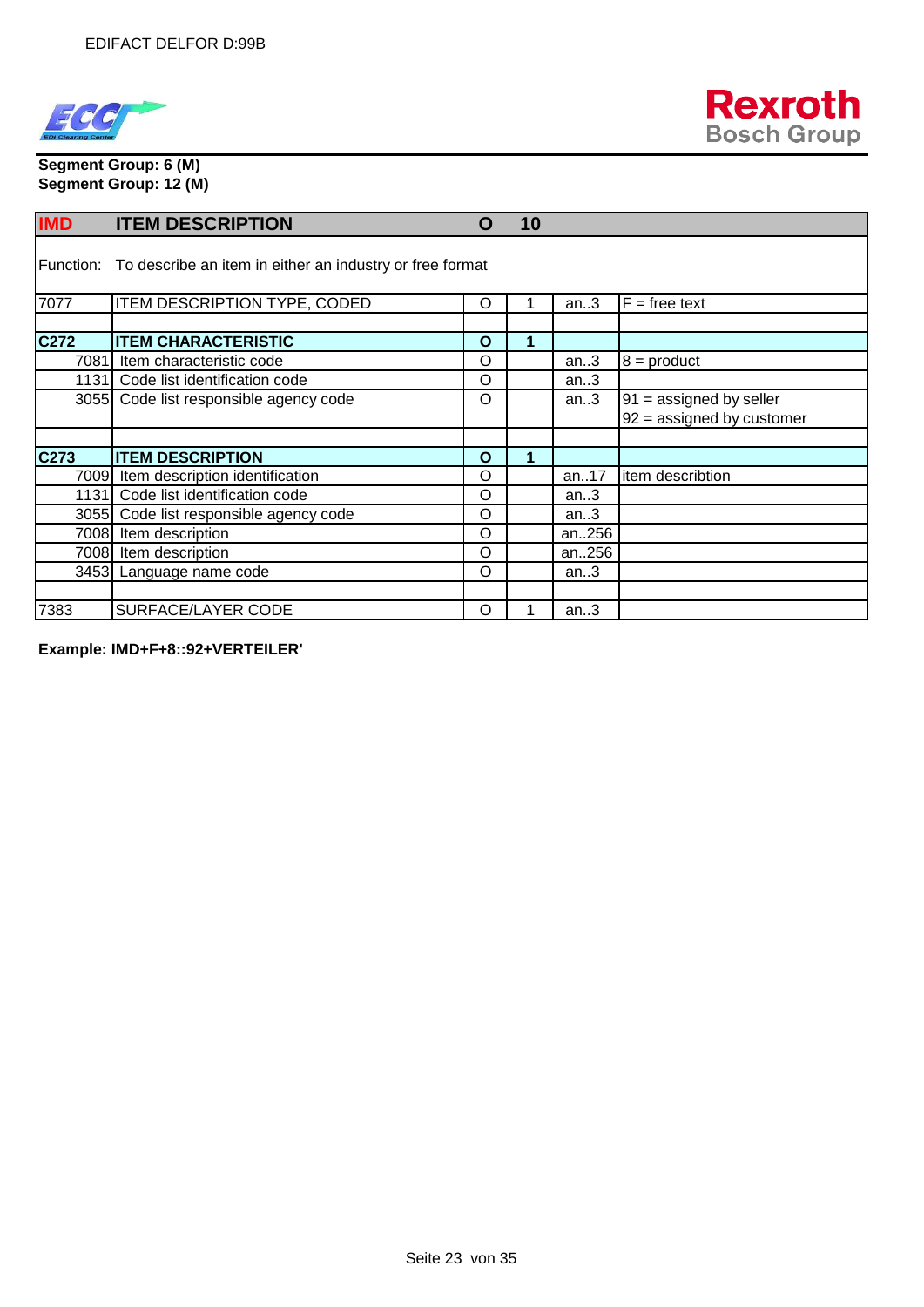



#### **Segment Group: 6 (M) Segment Group: 12 (M)**

| <b>IMD</b> | <b>ITEM DESCRIPTION</b>                                            | O        | 10 |       |                                                          |
|------------|--------------------------------------------------------------------|----------|----|-------|----------------------------------------------------------|
|            | Function: To describe an item in either an industry or free format |          |    |       |                                                          |
| 7077       | ITEM DESCRIPTION TYPE, CODED                                       | O        |    | an.3  | $F = free text$                                          |
| C272       | <b>ITEM CHARACTERISTIC</b>                                         | O        | 1  |       |                                                          |
|            | 7081 Item characteristic code                                      | O        |    | an.3  | $8 =$ product                                            |
|            | 1131 Code list identification code                                 | O        |    | an.3  |                                                          |
|            | 3055 Code list responsible agency code                             | O        |    | an.3  | $91 =$ assigned by seller<br>$92 =$ assigned by customer |
| C273       | <b>ITEM DESCRIPTION</b>                                            | O        |    |       |                                                          |
|            | 7009 Item description identification                               | O        |    | an17  | item describtion                                         |
|            | 1131 Code list identification code                                 | $\circ$  |    | an.3  |                                                          |
|            | 3055 Code list responsible agency code                             | O        |    | an.3  |                                                          |
|            | 7008 Item description                                              | $\Omega$ |    | an256 |                                                          |
|            | 7008 Item description                                              | $\Omega$ |    | an256 |                                                          |
|            | 3453 Language name code                                            | O        |    | an.3  |                                                          |
| 7383       | SURFACE/LAYER CODE                                                 | O        |    | an.3  |                                                          |

**Example: IMD+F+8::92+VERTEILER'**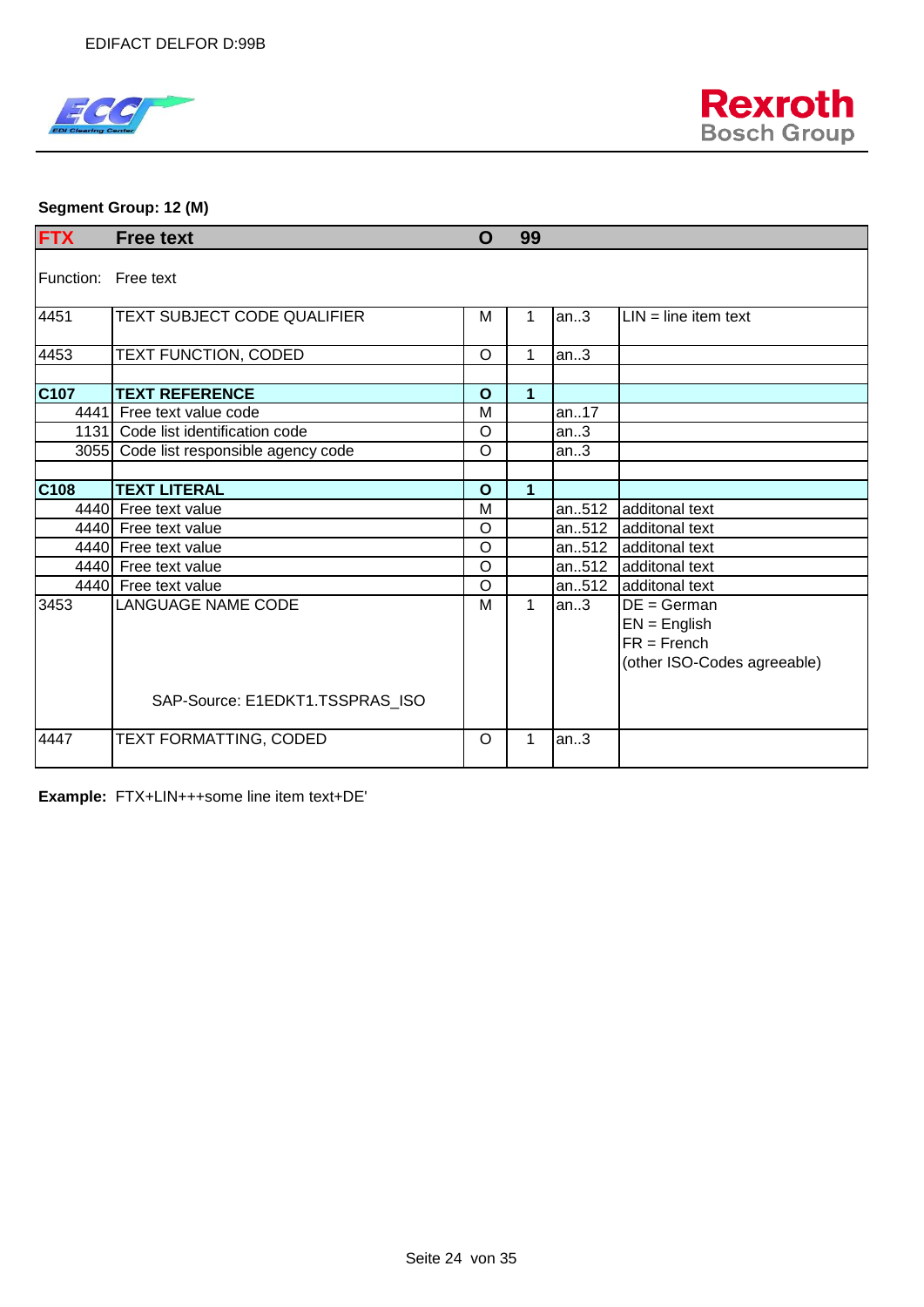



#### **Segment Group: 12 (M)**

| <b>FTX</b>          | <b>Free text</b>                       | O            | 99          |       |                                                                                 |
|---------------------|----------------------------------------|--------------|-------------|-------|---------------------------------------------------------------------------------|
| Function: Free text |                                        |              |             |       |                                                                                 |
| 4451                | TEXT SUBJECT CODE QUALIFIER            | М            | 1           | an.3  | $LIN = line item text$                                                          |
| 4453                | TEXT FUNCTION, CODED                   | $\circ$      | 1           | an.3  |                                                                                 |
| C <sub>107</sub>    | <b>TEXT REFERENCE</b>                  | $\mathbf{o}$ | 1           |       |                                                                                 |
| 4441                | Free text value code                   | M            |             | an17  |                                                                                 |
|                     | 1131 Code list identification code     | $\circ$      |             | an.3  |                                                                                 |
|                     | 3055 Code list responsible agency code | O            |             | an.3  |                                                                                 |
|                     |                                        |              |             |       |                                                                                 |
| C108                | <b>TEXT LITERAL</b>                    | $\mathbf O$  | 1           |       |                                                                                 |
|                     | 4440 Free text value                   | M            |             |       | an512 additonal text                                                            |
|                     | 4440 Free text value                   | $\circ$      |             | an512 | additonal text                                                                  |
|                     | 4440 Free text value                   | O            |             |       | an512 additonal text                                                            |
|                     | 4440 Free text value                   | O            |             |       | an512 additonal text                                                            |
|                     | 4440 Free text value                   | $\circ$      |             |       | an512 additonal text                                                            |
| 3453                | <b>LANGUAGE NAME CODE</b>              | M            | $\mathbf 1$ | an.3  | $DE = German$<br>$EN = English$<br>$FR =$ French<br>(other ISO-Codes agreeable) |
|                     | SAP-Source: E1EDKT1.TSSPRAS_ISO        |              |             |       |                                                                                 |
| 4447                | TEXT FORMATTING, CODED                 | O            | 1           | an.3  |                                                                                 |

**Example:** FTX+LIN+++some line item text+DE'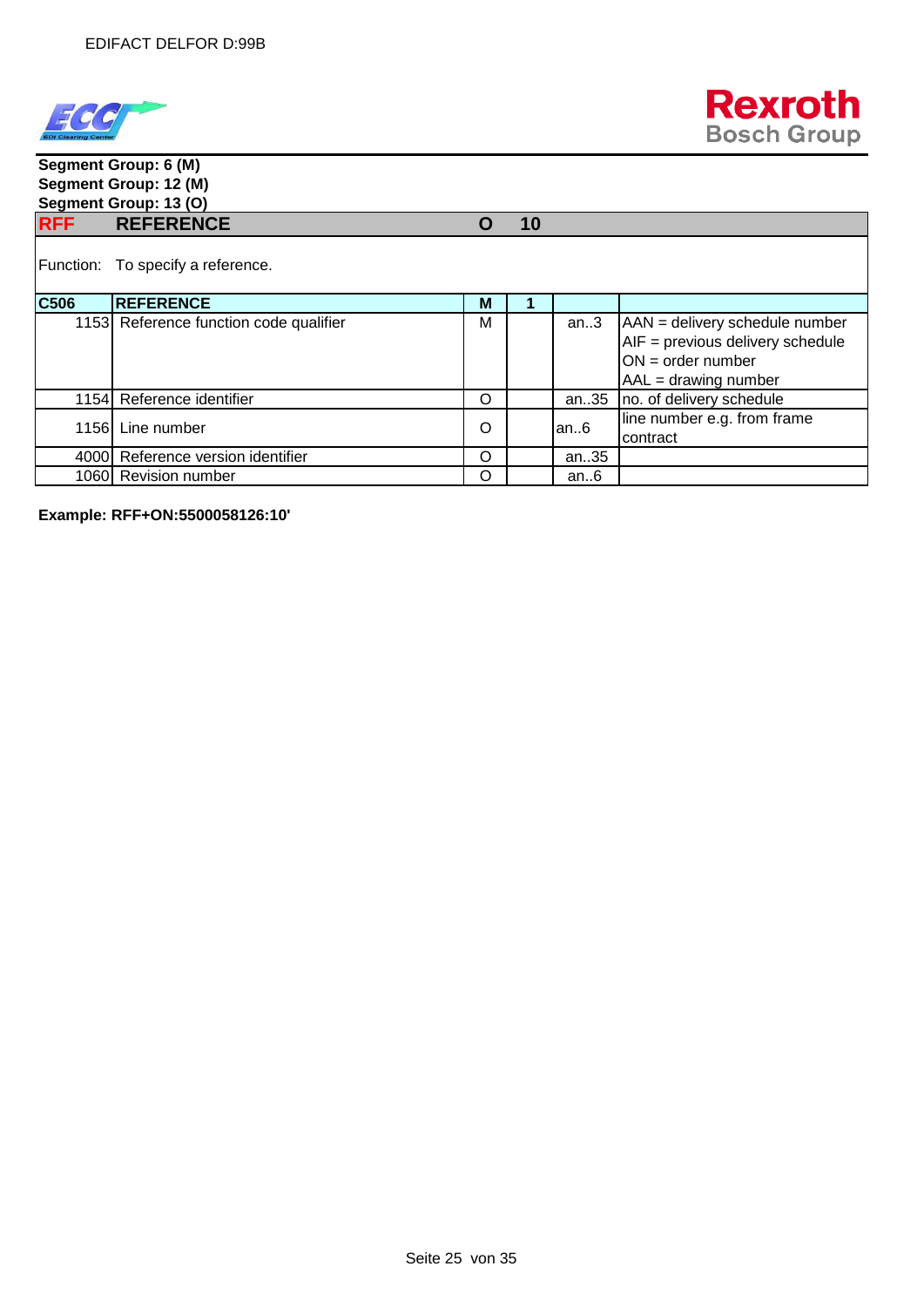



#### **Segment Group: 6 (M) Segment Group: 12 (M) Segment Group: 13 (O) RFF REFERENCE O 10** Function: To specify a reference. **C506 REFERENCE M 1** 1153 Reference function code qualifier  $\begin{bmatrix} M & \end{bmatrix}$  an..3  $\begin{bmatrix} AAN =$  delivery schedule number AIF = previous delivery schedule ON = order number AAL = drawing number 1154 Reference identifier **Constanting to the Constantine Constantine Constantine Constantine Constantine Constantine Constantine Constantine Constantine Constantine Constantine Constantine Constantine Constantine Constant** 1156 Line number  $\begin{array}{|c|c|c|c|c|c|}\n\hline\n\text{1156} & \text{line number e.g. from frame}\n\end{array}$ contract 4000 Reference version identifier **CO** an..35 1060 Revision number **O** an..6

**Example: RFF+ON:5500058126:10'**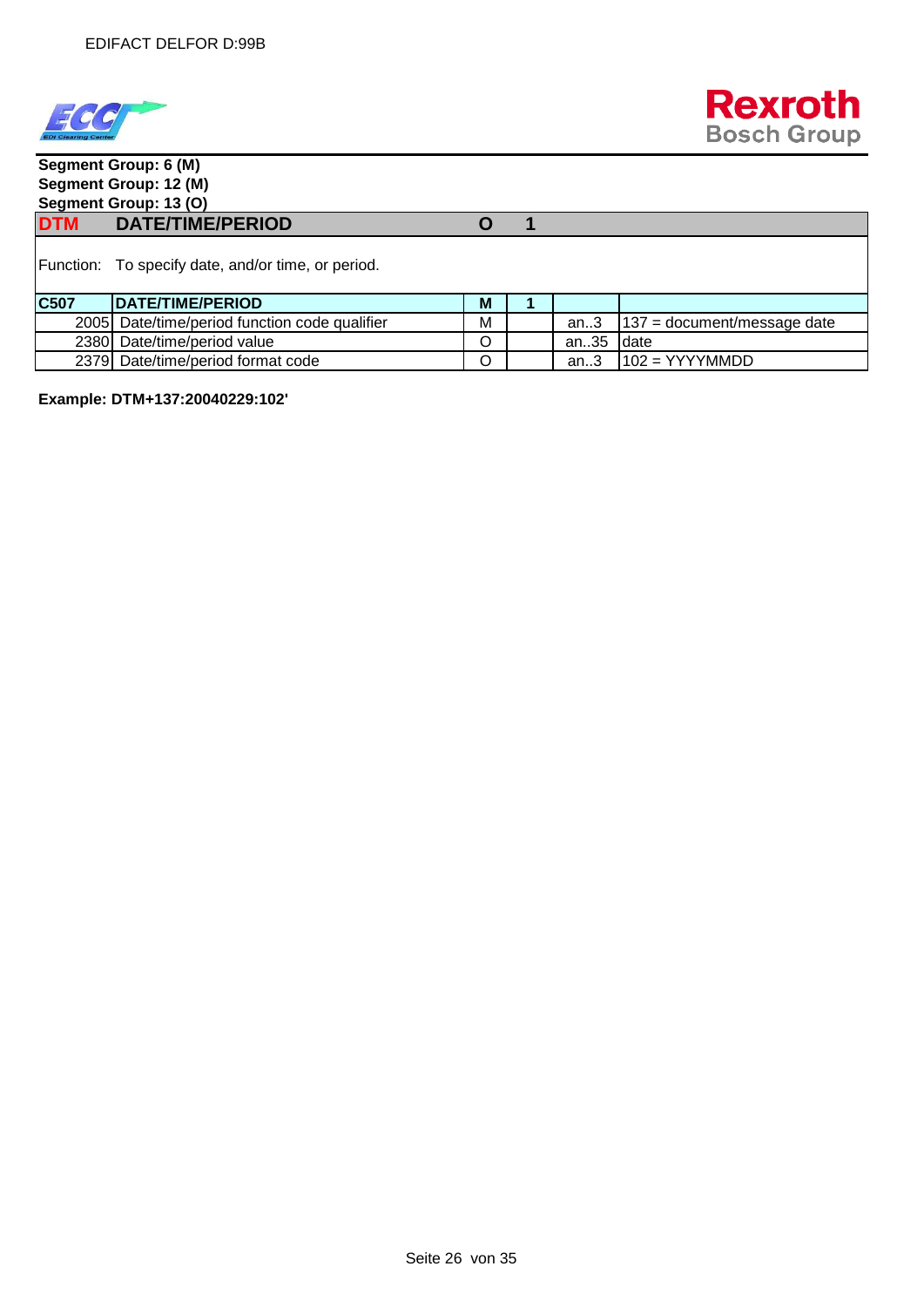



## **Segment Group: 6 (M) Segment Group: 12 (M) Segment Group: 13 (O) DTM DATE/TIME/PERIOD O 1** Function: To specify date, and/or time, or period. **C507 DATE/TIME/PERIOD M** 1 2005 Date/time/period function code qualifier  $\parallel M \parallel$  an..3 |137 = document/message date 2380 Date/time/period value and an..35 date

2379 Date/time/period format code  $\begin{bmatrix} \circ \\ \circ \end{bmatrix}$  | an..3 | 102 = YYYYMMDD

**Example: DTM+137:20040229:102'**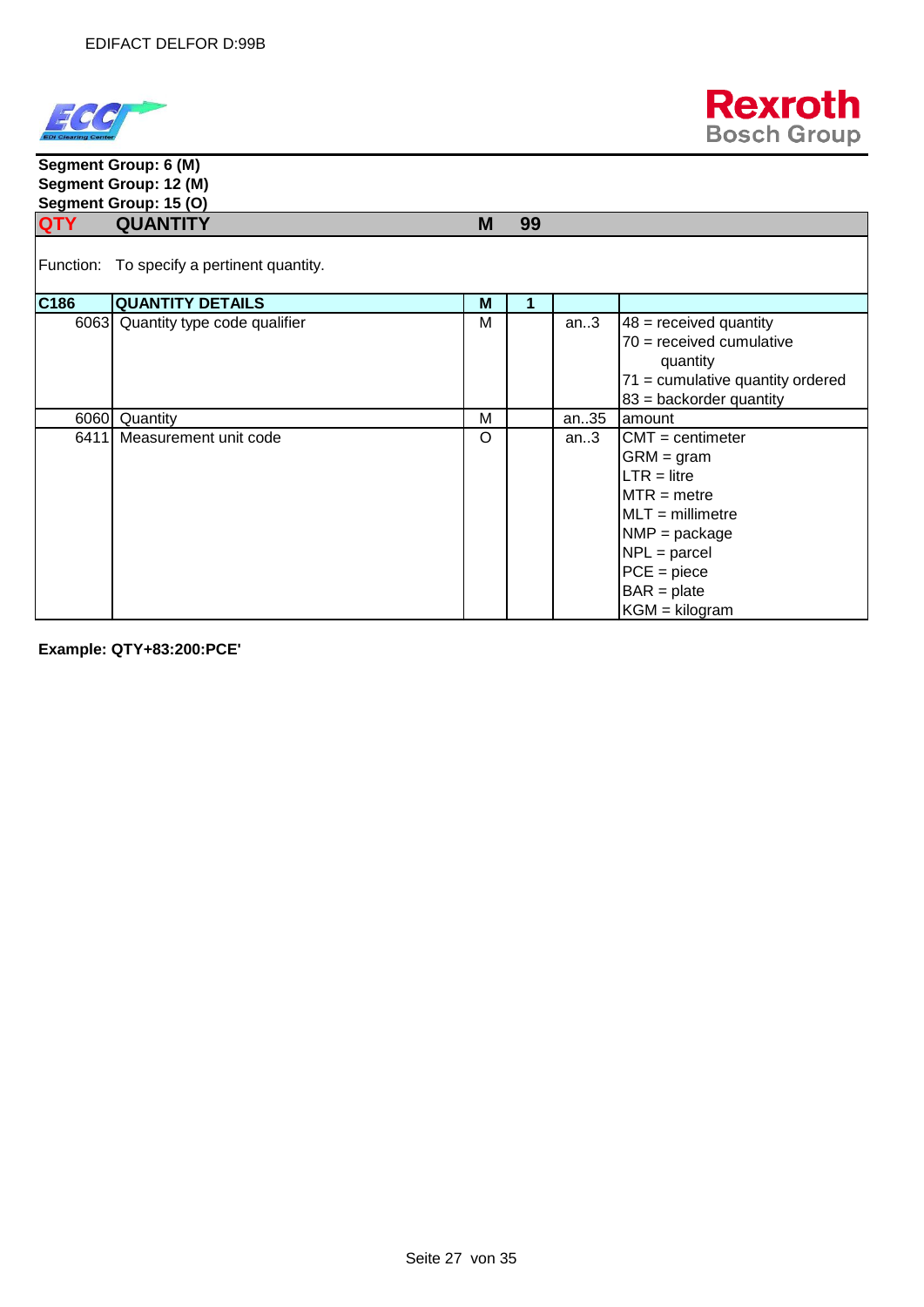



#### **Segment Group: 6 (M) Segment Group: 12 (M) Segment Group: 15 (O) QTY QUANTITY M 99** Function: To specify a pertinent quantity. **C186 QUANTITY DETAILS M 1** 6063 Quantity type code qualifier  $\begin{vmatrix} M & M & A \end{vmatrix}$  an..3  $\begin{vmatrix} 48 & = \text{received quantity} \end{vmatrix}$ 70 = received cumulative quantity 71 = cumulative quantity ordered 83 = backorder quantity 6060 Quantity **M** M an..35 amount 6411 Measurement unit code  $\begin{bmatrix} 0 & 1 \\ 0 & 1 \end{bmatrix}$  an..3  $\begin{bmatrix} CMT = \text{centimeter} \\ \text{on} \end{bmatrix}$ GRM = gram  $LTR =$  litre  $MTR = metre$ MLT = millimetre NMP = package  $NPL =$  parcel PCE = piece  $BAR = plate$ KGM = kilogram

**Example: QTY+83:200:PCE'**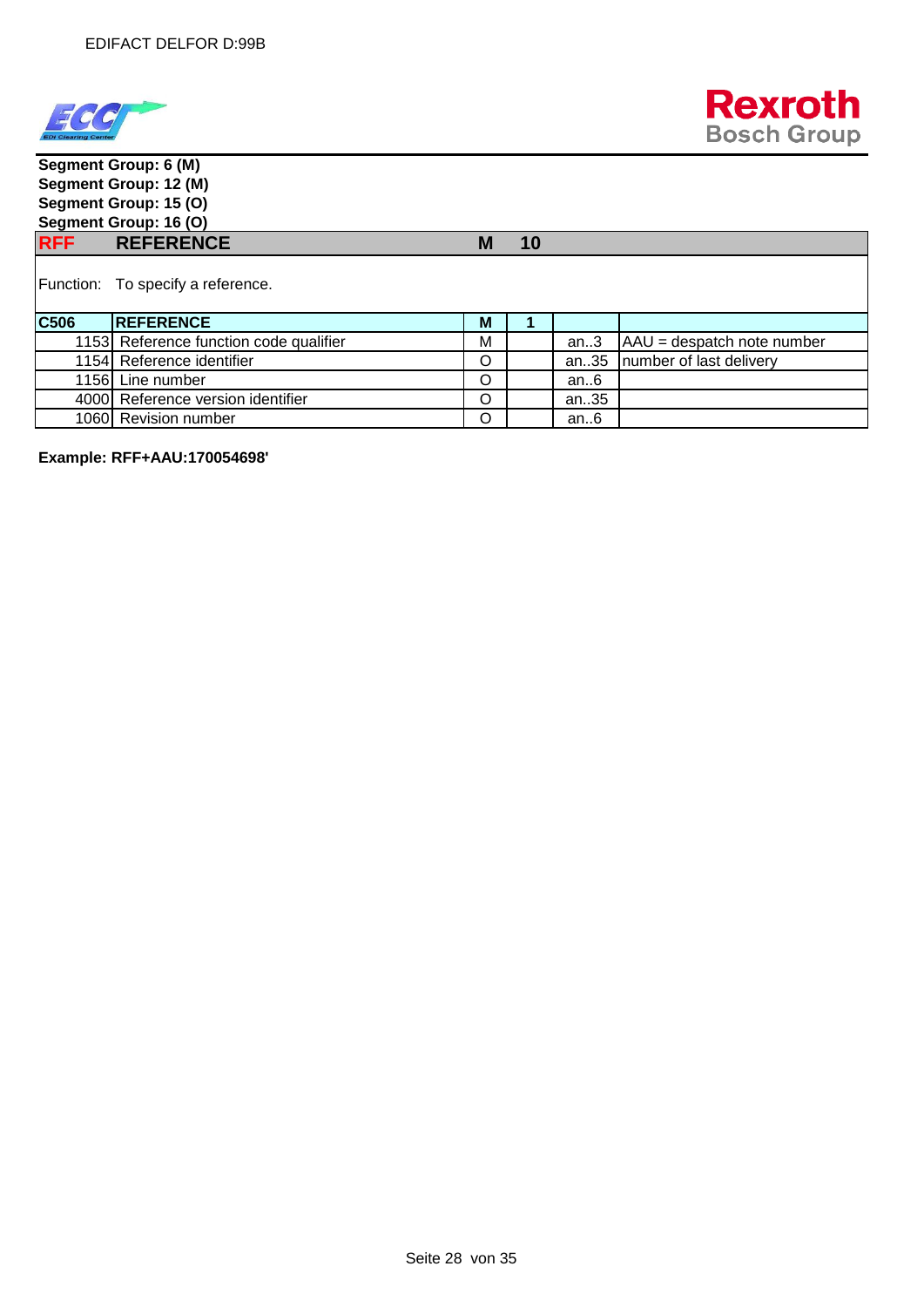



**Segment Group: 6 (M) Segment Group: 12 (M) Segment Group: 15 (O) Segment Group: 16 (O) RFF REFERENCE M 10** Function: To specify a reference. **C506** REFERENCE MIL 1 1153 Reference function code qualifier  $\parallel M \parallel$  an..3  $\parallel$  AAU = despatch note number 1154 Reference identifier **O COLLEGAN COLLEGAN Reference** identifier **COLLEGAN Reference** identifier 1156 Line number **O** an..6 4000 Reference version identifier **CO** an..35 1060 Revision number **O an..6** 

**Example: RFF+AAU:170054698'**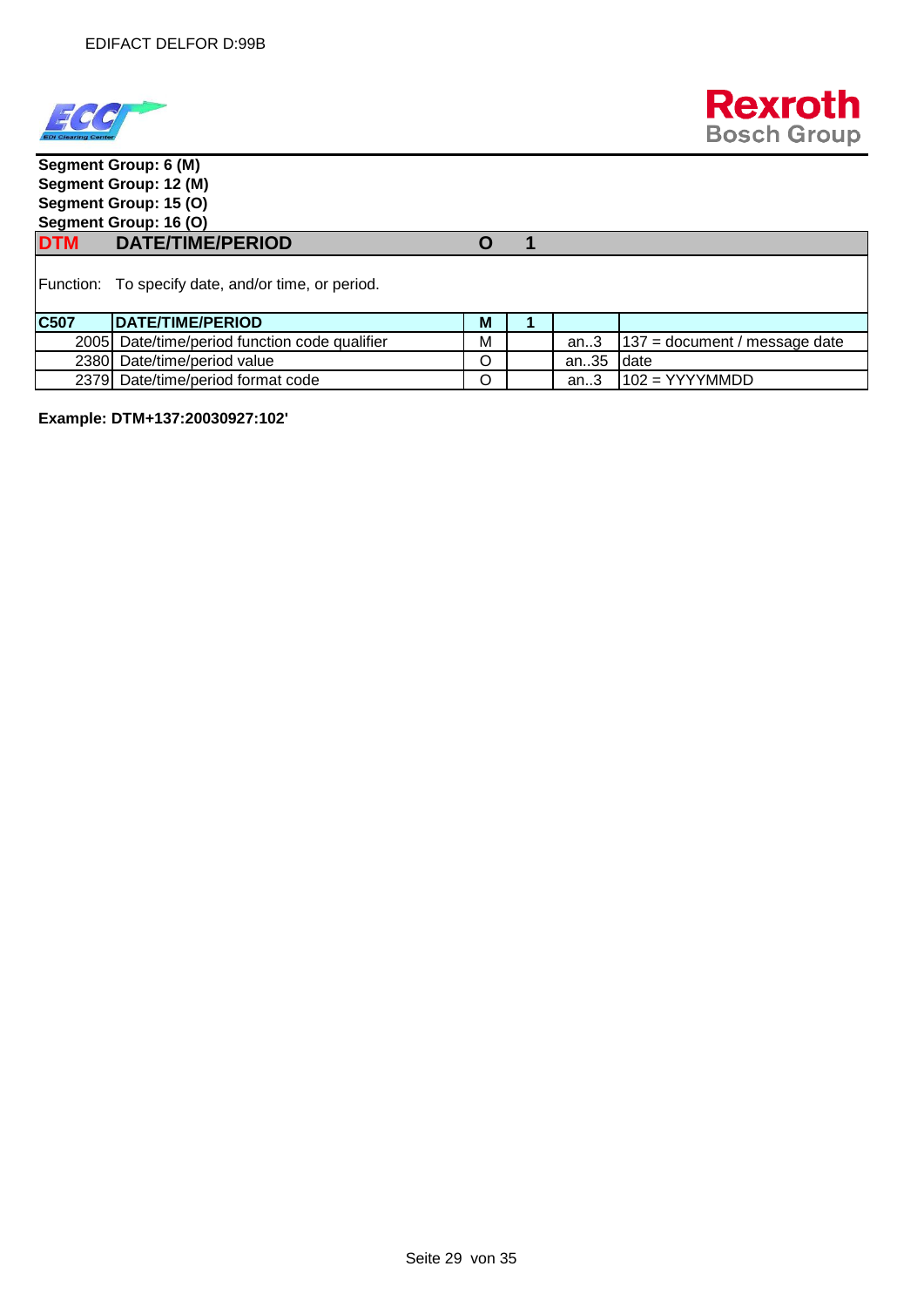



|                                   | Segment Group: 6 (M)                               |   |  |      |                                 |  |  |  |  |
|-----------------------------------|----------------------------------------------------|---|--|------|---------------------------------|--|--|--|--|
| Segment Group: 12 (M)             |                                                    |   |  |      |                                 |  |  |  |  |
|                                   | Segment Group: 15 (O)                              |   |  |      |                                 |  |  |  |  |
|                                   | Segment Group: 16 (O)                              |   |  |      |                                 |  |  |  |  |
| <b>DTM</b>                        | <b>DATE/TIME/PERIOD</b>                            |   |  |      |                                 |  |  |  |  |
|                                   | Function: To specify date, and/or time, or period. |   |  |      |                                 |  |  |  |  |
| C507                              | <b>DATE/TIME/PERIOD</b>                            | M |  |      |                                 |  |  |  |  |
| 2005                              | Date/time/period function code qualifier           | М |  | an.3 | $137$ = document / message date |  |  |  |  |
| 2380                              | Date/time/period value                             | Ω |  | an35 | Idate                           |  |  |  |  |
| 2379 Date/time/period format code |                                                    |   |  | an.3 | $102 = YYYYMMDD$                |  |  |  |  |

**Example: DTM+137:20030927:102'**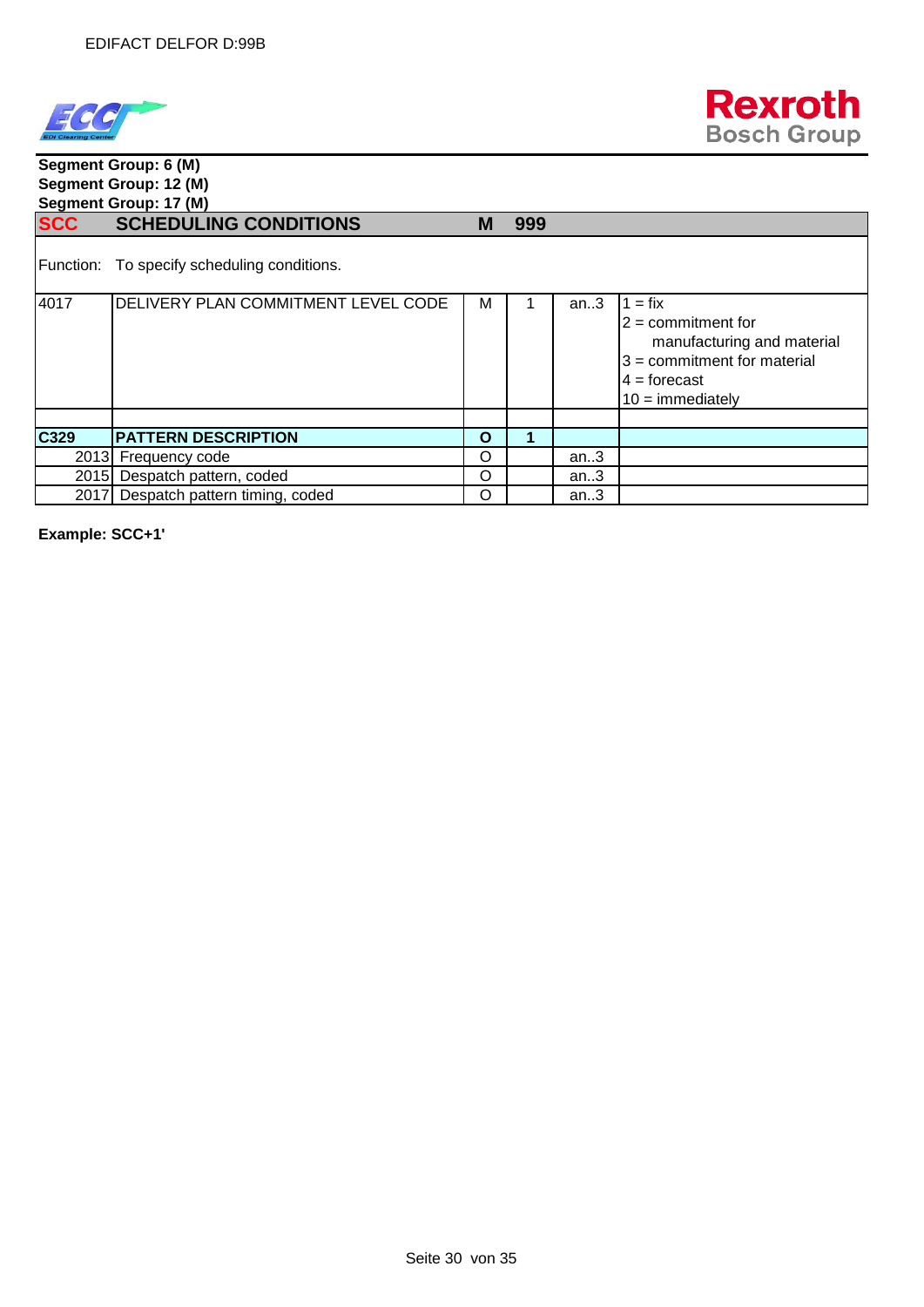



#### **Segment Group: 6 (M) Segment Group: 12 (M) Segment Group: 17 (M) SCC SCHEDULING CONDITIONS M 999**

Function: To specify scheduling conditions.

| 4017 | DELIVERY PLAN COMMITMENT LEVEL CODE | М | an.3 | $1 = fix$<br>$2 =$ commitment for<br>manufacturing and material<br>$3 =$ commitment for material<br>$4 =$ forecast<br>$10 =$ immediately |
|------|-------------------------------------|---|------|------------------------------------------------------------------------------------------------------------------------------------------|
| C329 | <b>PATTERN DESCRIPTION</b>          | O |      |                                                                                                                                          |
|      | 2013 Frequency code                 | O | an.3 |                                                                                                                                          |
|      | 2015 Despatch pattern, coded        | O | an.3 |                                                                                                                                          |
|      | 2017 Despatch pattern timing, coded | O | an.3 |                                                                                                                                          |

**Example: SCC+1'**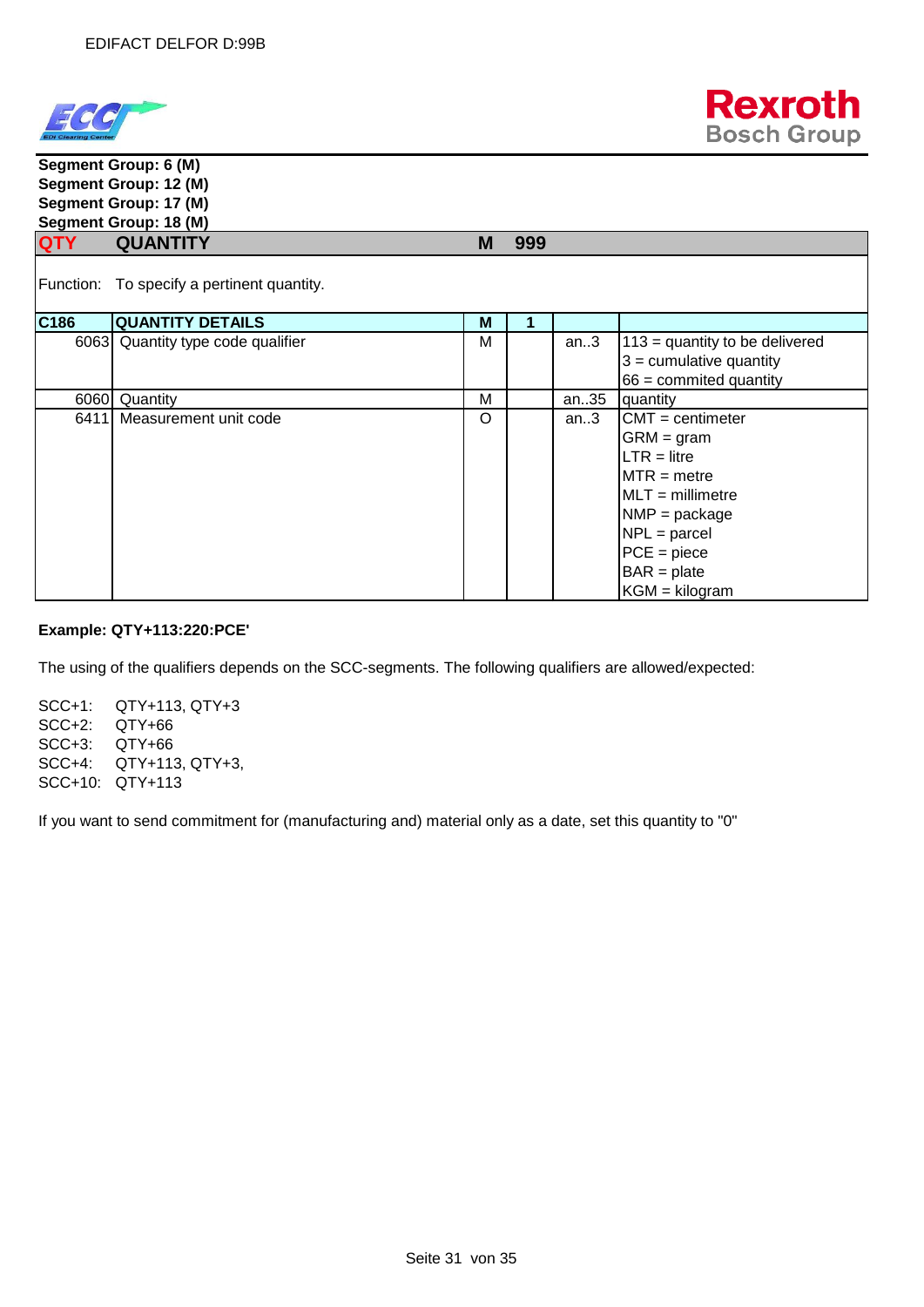



**Segment Group: 6 (M) Segment Group: 12 (M) Segment Group: 17 (M) Segment Group: 18 (M) QTY QUANTITY M 999** Function: To specify a pertinent quantity. **C186 QUANTITY DETAILS M** 1 6063 Quantity type code qualifier  $\begin{vmatrix} M & 113 \\ 113 & 114 \end{vmatrix}$  an..3  $\begin{vmatrix} 113 & 113 \\ 113 & 114 \end{vmatrix}$  and the delivered 3 = cumulative quantity 66 = commited quantity 6060 Quantity<br>
6411 Measurement unit code<br>
6411 Measurement unit code<br>
6411 Measurement unit code<br>
6411 Measurement unit code 6411 Measurement unit code <br>
an..3 GRM = gram  $LTR =$  litre  $MTR = metre$ MLT = millimetre NMP = package NPL = parcel PCE = piece  $BAR = plate$  $KGM = kilogram$ 

#### **Example: QTY+113:220:PCE'**

The using of the qualifiers depends on the SCC-segments. The following qualifiers are allowed/expected:

SCC+1: QTY+113, QTY+3 SCC+2: QTY+66 SCC+3: QTY+66 SCC+4: QTY+113, QTY+3, SCC+10: QTY+113

If you want to send commitment for (manufacturing and) material only as a date, set this quantity to "0"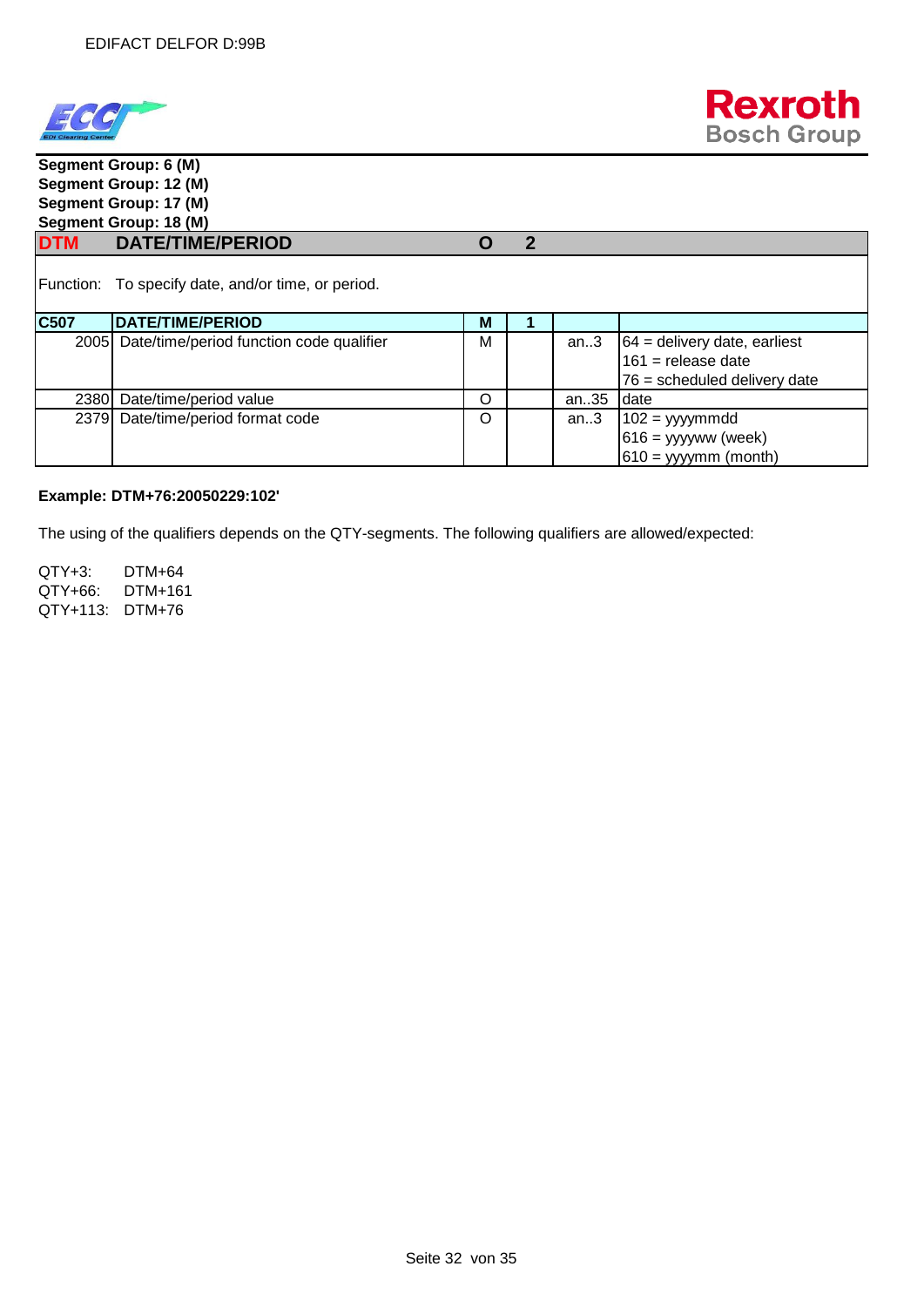



| Segment Group: 6 (M)  |                                                    |   |   |      |                                |  |  |  |  |
|-----------------------|----------------------------------------------------|---|---|------|--------------------------------|--|--|--|--|
| Segment Group: 12 (M) |                                                    |   |   |      |                                |  |  |  |  |
| Segment Group: 17 (M) |                                                    |   |   |      |                                |  |  |  |  |
|                       | Segment Group: 18 (M)                              |   |   |      |                                |  |  |  |  |
|                       | DTM DATE/TIME/PERIOD                               | O | 2 |      |                                |  |  |  |  |
|                       | Function: To specify date, and/or time, or period. |   |   |      |                                |  |  |  |  |
| <b>C507</b>           | <b>DATE/TIME/PERIOD</b>                            | M |   |      |                                |  |  |  |  |
|                       | 2005 Date/time/period function code qualifier      | М |   | an.3 | $64$ = delivery date, earliest |  |  |  |  |
|                       |                                                    |   |   |      | $161$ = release date           |  |  |  |  |
|                       |                                                    |   |   |      | 76 = scheduled delivery date   |  |  |  |  |
| 2380I                 | Date/time/period value                             | O |   | an35 | date                           |  |  |  |  |
|                       | 2379 Date/time/period format code                  | O |   | an.3 | $102 = yyymmdd$                |  |  |  |  |
|                       |                                                    |   |   |      | $616 =$ yyyyww (week)          |  |  |  |  |
|                       |                                                    |   |   |      | $610 =$ yyyymm (month)         |  |  |  |  |

#### **Example: DTM+76:20050229:102'**

The using of the qualifiers depends on the QTY-segments. The following qualifiers are allowed/expected:

QTY+3: DTM+64 QTY+66: DTM+161 QTY+113: DTM+76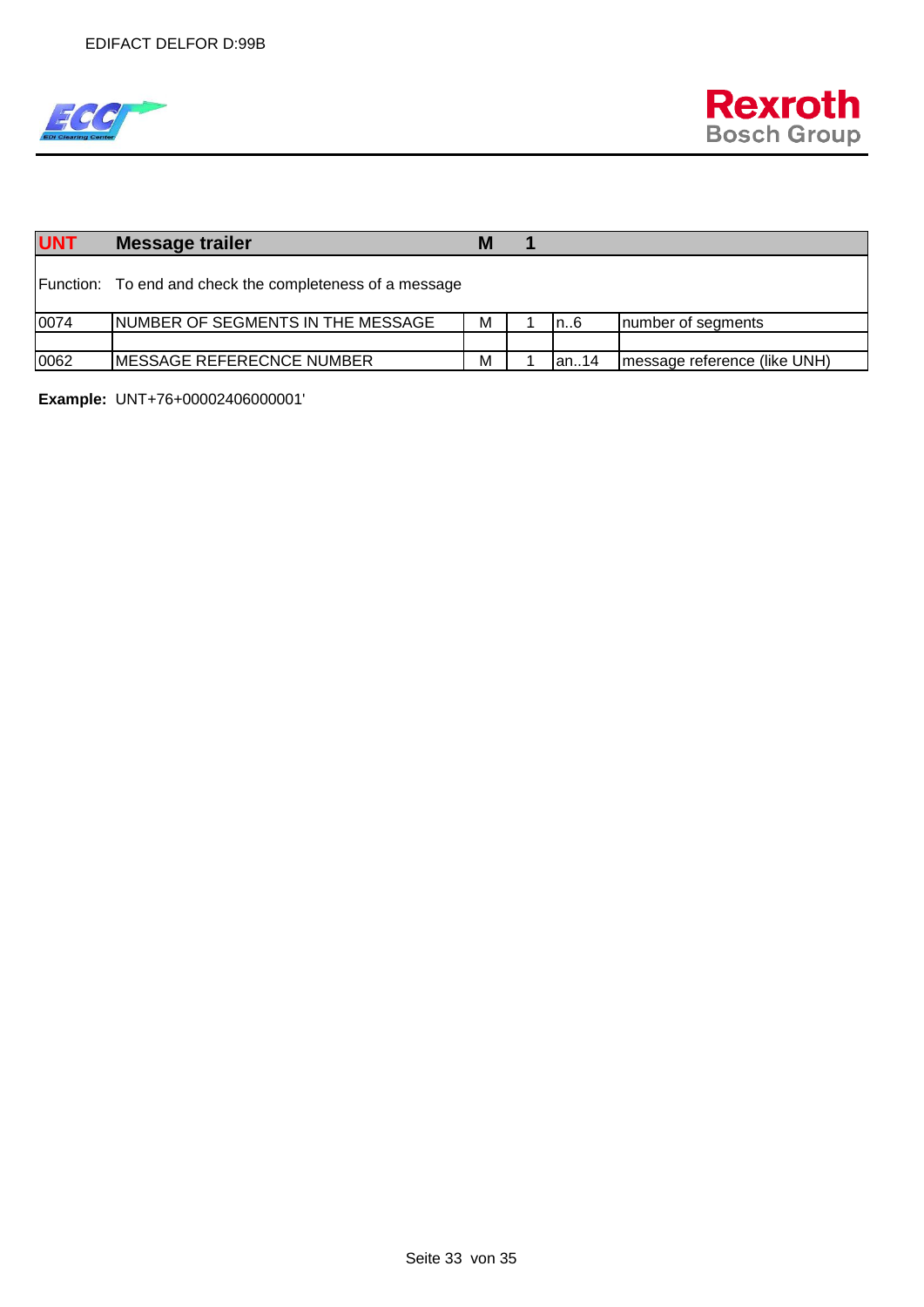

| <b>UNT</b> | Message trailer                                          | M |               |                              |
|------------|----------------------------------------------------------|---|---------------|------------------------------|
|            | Function: To end and check the completeness of a message |   |               |                              |
| 0074       | INUMBER OF SEGMENTS IN THE MESSAGE                       | м | In6           | number of segments           |
|            |                                                          |   |               |                              |
| 0062       | <b>IMESSAGE REFERECNCE NUMBER</b>                        | M | <b>l</b> an14 | message reference (like UNH) |

**Example:** UNT+76+00002406000001'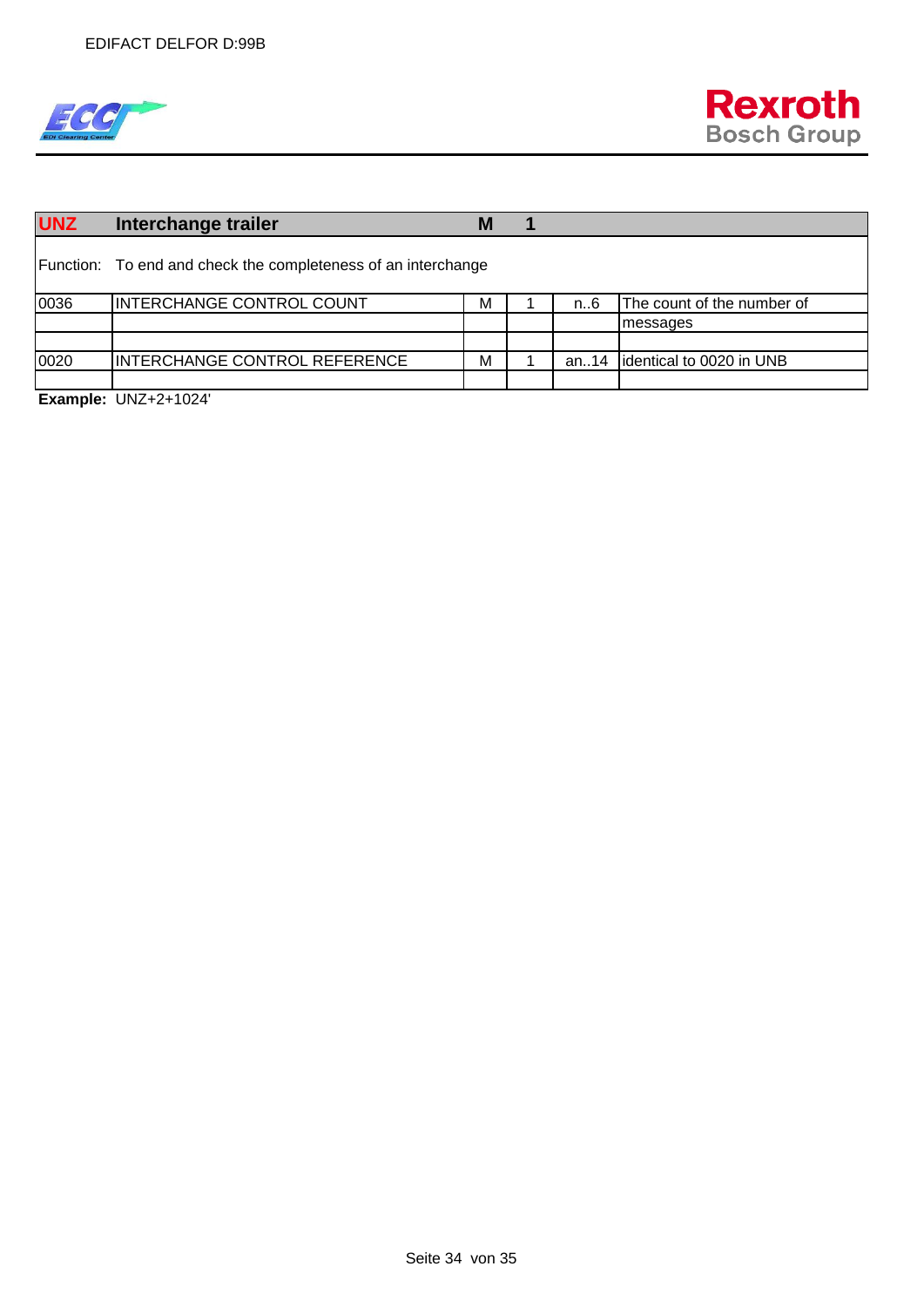

| <b>UNZ</b> | Interchange trailer                                           | M |  |         |                            |
|------------|---------------------------------------------------------------|---|--|---------|----------------------------|
|            | Function: To end and check the completeness of an interchange |   |  |         |                            |
| 0036       | <b>INTERCHANGE CONTROL COUNT</b>                              | М |  | n6      | The count of the number of |
|            |                                                               |   |  |         | messages                   |
|            |                                                               |   |  |         |                            |
| 0020       | <b>INTERCHANGE CONTROL REFERENCE</b>                          | М |  | an $14$ | identical to 0020 in UNB   |
|            |                                                               |   |  |         |                            |

**Example:** UNZ+2+1024'